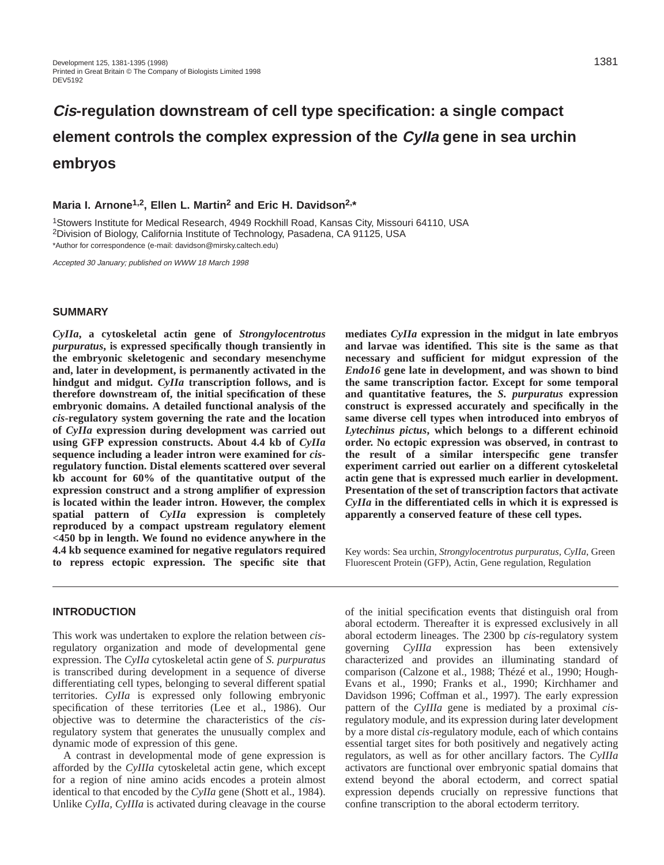# **Cis-regulation downstream of cell type specification: a single compact element controls the complex expression of the CyIIa gene in sea urchin embryos**

**Maria I. Arnone1,2, Ellen L. Martin2 and Eric H. Davidson2,\***

1Stowers Institute for Medical Research, 4949 Rockhill Road, Kansas City, Missouri 64110, USA 2Division of Biology, California Institute of Technology, Pasadena, CA 91125, USA \*Author for correspondence (e-mail: davidson@mirsky.caltech.edu)

Accepted 30 January; published on WWW 18 March 1998

## **SUMMARY**

*CyIIa***, a cytoskeletal actin gene of** *Strongylocentrotus purpuratus***, is expressed specifically though transiently in the embryonic skeletogenic and secondary mesenchyme and, later in development, is permanently activated in the hindgut and midgut.** *CyIIa* **transcription follows, and is therefore downstream of, the initial specification of these embryonic domains. A detailed functional analysis of the** *cis***-regulatory system governing the rate and the location of** *CyIIa* **expression during development was carried out using GFP expression constructs. About 4.4 kb of** *CyIIa* **sequence including a leader intron were examined for** *cis***regulatory function. Distal elements scattered over several kb account for 60% of the quantitative output of the expression construct and a strong amplifier of expression is located within the leader intron. However, the complex spatial pattern of** *CyIIa* **expression is completely reproduced by a compact upstream regulatory element <450 bp in length. We found no evidence anywhere in the 4.4 kb sequence examined for negative regulators required to repress ectopic expression. The specific site that**

#### **INTRODUCTION**

This work was undertaken to explore the relation between *cis*regulatory organization and mode of developmental gene expression. The *CyIIa* cytoskeletal actin gene of *S. purpuratus* is transcribed during development in a sequence of diverse differentiating cell types, belonging to several different spatial territories. *CyIIa* is expressed only following embryonic specification of these territories (Lee et al., 1986). Our objective was to determine the characteristics of the *cis*regulatory system that generates the unusually complex and dynamic mode of expression of this gene.

A contrast in developmental mode of gene expression is afforded by the *CyIIIa* cytoskeletal actin gene, which except for a region of nine amino acids encodes a protein almost identical to that encoded by the *CyIIa* gene (Shott et al., 1984). Unlike *CyIIa, CyIIIa* is activated during cleavage in the course

**mediates** *CyIIa* **expression in the midgut in late embryos and larvae was identified. This site is the same as that necessary and sufficient for midgut expression of the** *Endo16* **gene late in development, and was shown to bind the same transcription factor. Except for some temporal and quantitative features, the** *S. purpuratus* **expression construct is expressed accurately and specifically in the same diverse cell types when introduced into embryos of** *Lytechinus pictus***, which belongs to a different echinoid order. No ectopic expression was observed, in contrast to the result of a similar interspecific gene transfer experiment carried out earlier on a different cytoskeletal actin gene that is expressed much earlier in development. Presentation of the set of transcription factors that activate** *CyIIa* **in the differentiated cells in which it is expressed is apparently a conserved feature of these cell types.** 

Key words: Sea urchin, *Strongylocentrotus purpuratus*, *CyIIa*, Green Fluorescent Protein (GFP), Actin, Gene regulation, Regulation

of the initial specification events that distinguish oral from aboral ectoderm. Thereafter it is expressed exclusively in all aboral ectoderm lineages. The 2300 bp *cis*-regulatory system governing *CyIIIa* expression has been extensively characterized and provides an illuminating standard of comparison (Calzone et al., 1988; Thézé et al., 1990; Hough-Evans et al., 1990; Franks et al., 1990; Kirchhamer and Davidson 1996; Coffman et al., 1997). The early expression pattern of the *CyIIIa* gene is mediated by a proximal *cis*regulatory module, and its expression during later development by a more distal *cis*-regulatory module, each of which contains essential target sites for both positively and negatively acting regulators, as well as for other ancillary factors. The *CyIIIa* activators are functional over embryonic spatial domains that extend beyond the aboral ectoderm, and correct spatial expression depends crucially on repressive functions that confine transcription to the aboral ectoderm territory.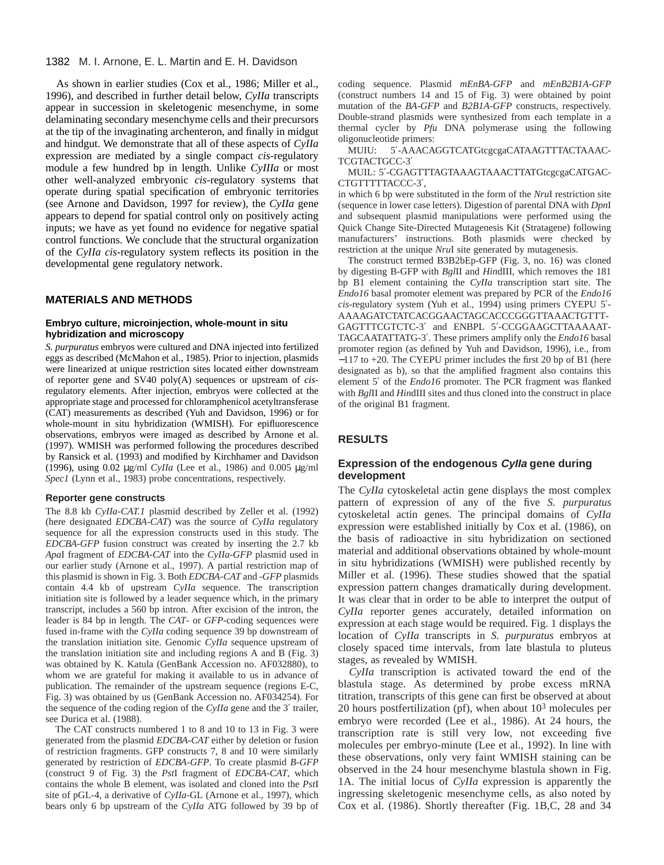As shown in earlier studies (Cox et al., 1986; Miller et al., 1996), and described in further detail below, *CyIIa* transcripts appear in succession in skeletogenic mesenchyme, in some delaminating secondary mesenchyme cells and their precursors at the tip of the invaginating archenteron, and finally in midgut and hindgut. We demonstrate that all of these aspects of *CyIIa* expression are mediated by a single compact *cis*-regulatory module a few hundred bp in length. Unlike *CyIIIa* or most other well-analyzed embryonic *cis*-regulatory systems that operate during spatial specification of embryonic territories (see Arnone and Davidson, 1997 for review), the *CyIIa* gene appears to depend for spatial control only on positively acting inputs; we have as yet found no evidence for negative spatial control functions. We conclude that the structural organization of the *CyIIa cis*-regulatory system reflects its position in the developmental gene regulatory network.

#### **MATERIALS AND METHODS**

#### **Embryo culture, microinjection, whole-mount in situ hybridization and microscopy**

*S. purpuratus* embryos were cultured and DNA injected into fertilized eggs as described (McMahon et al., 1985). Prior to injection, plasmids were linearized at unique restriction sites located either downstream of reporter gene and SV40 poly(A) sequences or upstream of *cis*regulatory elements. After injection, embryos were collected at the appropriate stage and processed for chloramphenicol acetyltransferase (CAT) measurements as described (Yuh and Davidson, 1996) or for whole-mount in situ hybridization (WMISH). For epifluorescence observations, embryos were imaged as described by Arnone et al. (1997). WMISH was performed following the procedures described by Ransick et al. (1993) and modified by Kirchhamer and Davidson (1996), using 0.02 µg/ml *CyIIa* (Lee et al., 1986) and 0.005 µg/ml *Spec1* (Lynn et al., 1983) probe concentrations, respectively.

#### **Reporter gene constructs**

The 8.8 kb *CyIIa-CAT.1* plasmid described by Zeller et al. (1992) (here designated *EDCBA-CAT*) was the source of *CyIIa* regulatory sequence for all the expression constructs used in this study. The *EDCBA-GFP* fusion construct was created by inserting the 2.7 kb *Apa*I fragment of *EDCBA-CAT* into the *CyIIa-GFP* plasmid used in our earlier study (Arnone et al., 1997). A partial restriction map of this plasmid is shown in Fig. 3. Both *EDCBA-CAT* and *-GFP* plasmids contain 4.4 kb of upstream *CyIIa* sequence. The transcription initiation site is followed by a leader sequence which, in the primary transcript, includes a 560 bp intron. After excision of the intron, the leader is 84 bp in length. The *CAT*- or *GFP*-coding sequences were fused in-frame with the *CyIIa* coding sequence 39 bp downstream of the translation initiation site. Genomic *CyIIa* sequence upstream of the translation initiation site and including regions A and B (Fig. 3) was obtained by K. Katula (GenBank Accession no. AF032880), to whom we are grateful for making it available to us in advance of publication. The remainder of the upstream sequence (regions E-C, Fig. 3) was obtained by us (GenBank Accession no. AF034254). For the sequence of the coding region of the *CyIIa* gene and the 3′ trailer, see Durica et al. (1988).

The CAT constructs numbered 1 to 8 and 10 to 13 in Fig. 3 were generated from the plasmid *EDCBA-CAT* either by deletion or fusion of restriction fragments. GFP constructs 7, 8 and 10 were similarly generated by restriction of *EDCBA-GFP*. To create plasmid *B-GFP* (construct 9 of Fig. 3) the *Pst*I fragment of *EDCBA-CAT*, which contains the whole B element, was isolated and cloned into the *Pst*I site of pGL-4, a derivative of *CyIIa*-GL (Arnone et al., 1997), which bears only 6 bp upstream of the *CyIIa* ATG followed by 39 bp of coding sequence. Plasmid *mEnBA-GFP* and *mEnB2B1A-GFP* (construct numbers 14 and 15 of Fig. 3) were obtained by point mutation of the *BA-GFP* and *B2B1A-GFP* constructs, respectively. Double-strand plasmids were synthesized from each template in a thermal cycler by *Pfu* DNA polymerase using the following oligonucleotide primers:

MUIU: 5'-AAACAGGTCATGtcgcgaCATAAGTTTACTAAAC-TCGTACTGCC-3′

MUIL: 5'-CGAGTTTAGTAAAGTAAACTTATGtcgcgaCATGAC-CTGTTTTTACCC-3′,

in which 6 bp were substituted in the form of the *Nru*I restriction site (sequence in lower case letters). Digestion of parental DNA with *Dpn*I and subsequent plasmid manipulations were performed using the Quick Change Site-Directed Mutagenesis Kit (Stratagene) following manufacturers' instructions. Both plasmids were checked by restriction at the unique *Nru*I site generated by mutagenesis.

The construct termed B3B2bEp-GFP (Fig. 3, no. 16) was cloned by digesting B-GFP with *Bgl*II and *Hin*dIII, which removes the 181 bp B1 element containing the *CyIIa* transcription start site. The *Endo16* basal promoter element was prepared by PCR of the *Endo16 cis*-regulatory system (Yuh et al., 1994) using primers CYEPU 5′- AAAAGATCTATCACGGAACTAGCACCCGGGTTAAACTGTTT-GAGTTTCGTCTC-3′ and ENBPL 5′-CCGGAAGCTTAAAAAT-TAGCAATATTATG-3′. These primers amplify only the *Endo16* basal promoter region (as defined by Yuh and Davidson, 1996), i.e., from −117 to +20. The CYEPU primer includes the first 20 bp of B1 (here designated as b), so that the amplified fragment also contains this element 5′ of the *Endo16* promoter. The PCR fragment was flanked with *Bgl*II and *Hin*dIII sites and thus cloned into the construct in place of the original B1 fragment.

# **RESULTS**

## **Expression of the endogenous CyIIa gene during development**

The *CyIIa* cytoskeletal actin gene displays the most complex pattern of expression of any of the five *S. purpuratus* cytoskeletal actin genes. The principal domains of *CyIIa* expression were established initially by Cox et al. (1986), on the basis of radioactive in situ hybridization on sectioned material and additional observations obtained by whole-mount in situ hybridizations (WMISH) were published recently by Miller et al. (1996). These studies showed that the spatial expression pattern changes dramatically during development. It was clear that in order to be able to interpret the output of *CyIIa* reporter genes accurately, detailed information on expression at each stage would be required. Fig. 1 displays the location of *CyIIa* transcripts in *S. purpuratus* embryos at closely spaced time intervals, from late blastula to pluteus stages, as revealed by WMISH.

*CyIIa* transcription is activated toward the end of the blastula stage. As determined by probe excess mRNA titration, transcripts of this gene can first be observed at about 20 hours postfertilization (pf), when about  $10<sup>3</sup>$  molecules per embryo were recorded (Lee et al., 1986). At 24 hours, the transcription rate is still very low, not exceeding five molecules per embryo-minute (Lee et al., 1992). In line with these observations, only very faint WMISH staining can be observed in the 24 hour mesenchyme blastula shown in Fig. 1A. The initial locus of *CyIIa* expression is apparently the ingressing skeletogenic mesenchyme cells, as also noted by Cox et al. (1986). Shortly thereafter (Fig. 1B,C, 28 and 34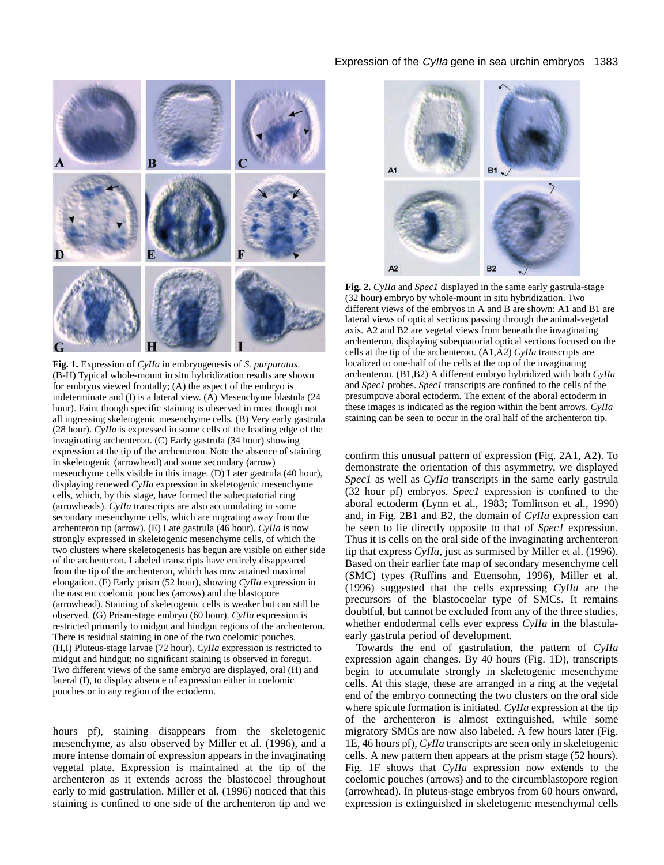

**Fig. 1.** Expression of *CyIIa* in embryogenesis of *S. purpuratus*. (B-H) Typical whole-mount in situ hybridization results are shown for embryos viewed frontally; (A) the aspect of the embryo is indeterminate and (I) is a lateral view. (A) Mesenchyme blastula (24 hour). Faint though specific staining is observed in most though not all ingressing skeletogenic mesenchyme cells. (B) Very early gastrula (28 hour). *CyIIa* is expressed in some cells of the leading edge of the invaginating archenteron. (C) Early gastrula (34 hour) showing expression at the tip of the archenteron. Note the absence of staining in skeletogenic (arrowhead) and some secondary (arrow) mesenchyme cells visible in this image. (D) Later gastrula (40 hour), displaying renewed *CyIIa* expression in skeletogenic mesenchyme cells, which, by this stage, have formed the subequatorial ring (arrowheads). *CyIIa* transcripts are also accumulating in some secondary mesenchyme cells, which are migrating away from the archenteron tip (arrow). (E) Late gastrula (46 hour). *CyIIa* is now strongly expressed in skeletogenic mesenchyme cells, of which the two clusters where skeletogenesis has begun are visible on either side of the archenteron. Labeled transcripts have entirely disappeared from the tip of the archenteron, which has now attained maximal elongation. (F) Early prism (52 hour), showing *CyIIa* expression in the nascent coelomic pouches (arrows) and the blastopore (arrowhead). Staining of skeletogenic cells is weaker but can still be observed. (G) Prism-stage embryo (60 hour). *CyIIa* expression is restricted primarily to midgut and hindgut regions of the archenteron. There is residual staining in one of the two coelomic pouches. (H,I) Pluteus-stage larvae (72 hour). *CyIIa* expression is restricted to midgut and hindgut; no significant staining is observed in foregut. Two different views of the same embryo are displayed, oral (H) and lateral (I), to display absence of expression either in coelomic pouches or in any region of the ectoderm.

hours pf), staining disappears from the skeletogenic mesenchyme, as also observed by Miller et al. (1996), and a more intense domain of expression appears in the invaginating vegetal plate. Expression is maintained at the tip of the archenteron as it extends across the blastocoel throughout early to mid gastrulation. Miller et al. (1996) noticed that this staining is confined to one side of the archenteron tip and we

# Expression of the Cylla gene in sea urchin embryos 1383



**Fig. 2.** *CyIIa* and *Spec1* displayed in the same early gastrula-stage (32 hour) embryo by whole-mount in situ hybridization. Two different views of the embryos in A and B are shown: A1 and B1 are lateral views of optical sections passing through the animal-vegetal axis. A2 and B2 are vegetal views from beneath the invaginating archenteron, displaying subequatorial optical sections focused on the cells at the tip of the archenteron. (A1,A2) *CyIIa* transcripts are localized to one-half of the cells at the top of the invaginating archenteron. (B1,B2) A different embryo hybridized with both *CyIIa* and *Spec1* probes. *Spec1* transcripts are confined to the cells of the presumptive aboral ectoderm. The extent of the aboral ectoderm in these images is indicated as the region within the bent arrows. *CyIIa* staining can be seen to occur in the oral half of the archenteron tip.

confirm this unusual pattern of expression (Fig. 2A1, A2). To demonstrate the orientation of this asymmetry, we displayed *Spec1* as well as *CyIIa* transcripts in the same early gastrula (32 hour pf) embryos. *Spec1* expression is confined to the aboral ectoderm (Lynn et al., 1983; Tomlinson et al., 1990) and, in Fig. 2B1 and B2, the domain of *CyIIa* expression can be seen to lie directly opposite to that of *Spec1* expression. Thus it is cells on the oral side of the invaginating archenteron tip that express *CyIIa*, just as surmised by Miller et al. (1996). Based on their earlier fate map of secondary mesenchyme cell (SMC) types (Ruffins and Ettensohn, 1996), Miller et al. (1996) suggested that the cells expressing *CyIIa* are the precursors of the blastocoelar type of SMCs. It remains doubtful, but cannot be excluded from any of the three studies, whether endodermal cells ever express *CyIIa* in the blastulaearly gastrula period of development.

Towards the end of gastrulation, the pattern of *CyIIa* expression again changes. By 40 hours (Fig. 1D), transcripts begin to accumulate strongly in skeletogenic mesenchyme cells. At this stage, these are arranged in a ring at the vegetal end of the embryo connecting the two clusters on the oral side where spicule formation is initiated. *CyIIa* expression at the tip of the archenteron is almost extinguished, while some migratory SMCs are now also labeled. A few hours later (Fig. 1E, 46 hours pf), *CyIIa* transcripts are seen only in skeletogenic cells. A new pattern then appears at the prism stage (52 hours). Fig. 1F shows that *CyIIa* expression now extends to the coelomic pouches (arrows) and to the circumblastopore region (arrowhead). In pluteus-stage embryos from 60 hours onward, expression is extinguished in skeletogenic mesenchymal cells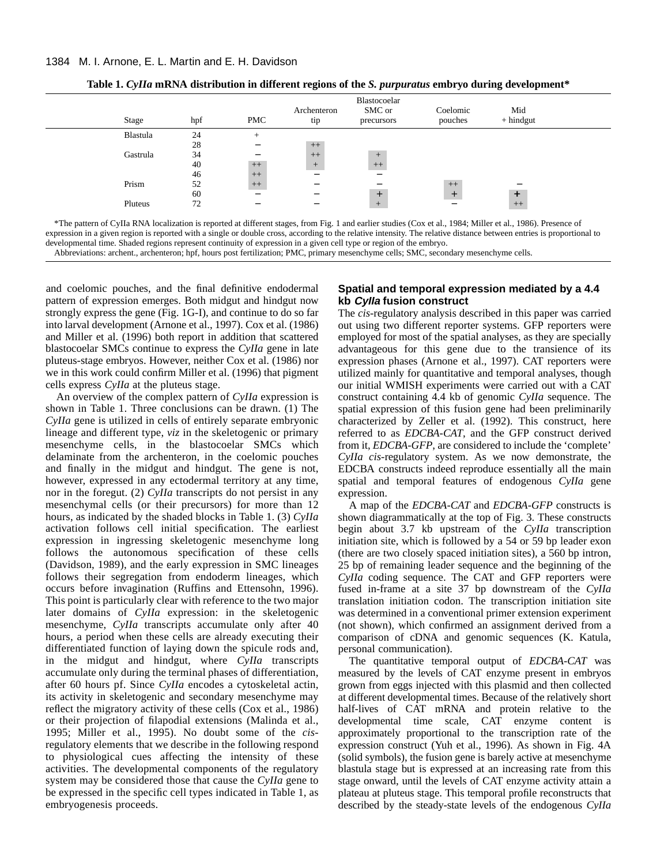| Stage    | hpf | <b>PMC</b>               | Archenteron<br>tip     | Blastocoelar<br>SMC or<br>precursors | Coelomic<br>pouches | Mid<br>$+$ hindgut       |
|----------|-----|--------------------------|------------------------|--------------------------------------|---------------------|--------------------------|
| Blastula | 24  | $^{+}$                   |                        |                                      |                     |                          |
|          | 28  | $\overline{\phantom{0}}$ | $++$                   |                                      |                     |                          |
| Gastrula | 34  |                          | $++$                   | $+$                                  |                     |                          |
|          | 40  | $++$                     | $+$                    | $++$                                 |                     |                          |
|          | 46  | $++$                     | $\qquad \qquad \qquad$ | —                                    |                     |                          |
| Prism    | 52  | $++$                     | –                      |                                      | $++$                | $\overline{\phantom{0}}$ |
|          | 60  | $\overline{\phantom{0}}$ | –                      | $+$                                  | $^{+}$              | $\ddot{}$                |
| Pluteus  | 72  |                          | -                      | $+$                                  |                     | $^{++}$                  |

**Table 1.** *CyIIa* **mRNA distribution in different regions of the** *S. purpuratus* **embryo during development\***

\*The pattern of CyIIa RNA localization is reported at different stages, from Fig. 1 and earlier studies (Cox et al., 1984; Miller et al., 1986). Presence of expression in a given region is reported with a single or double cross, according to the relative intensity. The relative distance between entries is proportional to developmental time. Shaded regions represent continuity of expression in a given cell type or region of the embryo.

Abbreviations: archent., archenteron; hpf, hours post fertilization; PMC, primary mesenchyme cells; SMC, secondary mesenchyme cells.

and coelomic pouches, and the final definitive endodermal pattern of expression emerges. Both midgut and hindgut now strongly express the gene (Fig. 1G-I), and continue to do so far into larval development (Arnone et al., 1997). Cox et al. (1986) and Miller et al. (1996) both report in addition that scattered blastocoelar SMCs continue to express the *CyIIa* gene in late pluteus-stage embryos. However, neither Cox et al. (1986) nor we in this work could confirm Miller et al. (1996) that pigment cells express *CyIIa* at the pluteus stage.

An overview of the complex pattern of *CyIIa* expression is shown in Table 1. Three conclusions can be drawn. (1) The *CyIIa* gene is utilized in cells of entirely separate embryonic lineage and different type, *viz* in the skeletogenic or primary mesenchyme cells, in the blastocoelar SMCs which delaminate from the archenteron, in the coelomic pouches and finally in the midgut and hindgut. The gene is not, however, expressed in any ectodermal territory at any time, nor in the foregut. (2) *CyIIa* transcripts do not persist in any mesenchymal cells (or their precursors) for more than 12 hours, as indicated by the shaded blocks in Table 1. (3) *CyIIa* activation follows cell initial specification. The earliest expression in ingressing skeletogenic mesenchyme long follows the autonomous specification of these cells (Davidson, 1989), and the early expression in SMC lineages follows their segregation from endoderm lineages, which occurs before invagination (Ruffins and Ettensohn, 1996). This point is particularly clear with reference to the two major later domains of *CyIIa* expression: in the skeletogenic mesenchyme, *CyIIa* transcripts accumulate only after 40 hours, a period when these cells are already executing their differentiated function of laying down the spicule rods and, in the midgut and hindgut, where *CyIIa* transcripts accumulate only during the terminal phases of differentiation, after 60 hours pf. Since *CyIIa* encodes a cytoskeletal actin, its activity in skeletogenic and secondary mesenchyme may reflect the migratory activity of these cells (Cox et al., 1986) or their projection of filapodial extensions (Malinda et al., 1995; Miller et al., 1995). No doubt some of the *cis*regulatory elements that we describe in the following respond to physiological cues affecting the intensity of these activities. The developmental components of the regulatory system may be considered those that cause the *CyIIa* gene to be expressed in the specific cell types indicated in Table 1, as embryogenesis proceeds.

# **Spatial and temporal expression mediated by a 4.4 kb CyIIa fusion construct**

The *cis*-regulatory analysis described in this paper was carried out using two different reporter systems. GFP reporters were employed for most of the spatial analyses, as they are specially advantageous for this gene due to the transience of its expression phases (Arnone et al., 1997). CAT reporters were utilized mainly for quantitative and temporal analyses, though our initial WMISH experiments were carried out with a CAT construct containing 4.4 kb of genomic *CyIIa* sequence. The spatial expression of this fusion gene had been preliminarily characterized by Zeller et al. (1992). This construct, here referred to as *EDCBA-CAT*, and the GFP construct derived from it, *EDCBA-GFP*, are considered to include the 'complete' *CyIIa cis*-regulatory system. As we now demonstrate, the EDCBA constructs indeed reproduce essentially all the main spatial and temporal features of endogenous *CyIIa* gene expression.

A map of the *EDCBA-CAT* and *EDCBA-GFP* constructs is shown diagrammatically at the top of Fig. 3. These constructs begin about 3.7 kb upstream of the *CyIIa* transcription initiation site, which is followed by a 54 or 59 bp leader exon (there are two closely spaced initiation sites), a 560 bp intron, 25 bp of remaining leader sequence and the beginning of the *CyIIa* coding sequence. The CAT and GFP reporters were fused in-frame at a site 37 bp downstream of the *CyIIa* translation initiation codon. The transcription initiation site was determined in a conventional primer extension experiment (not shown), which confirmed an assignment derived from a comparison of cDNA and genomic sequences (K. Katula, personal communication).

The quantitative temporal output of *EDCBA-CAT* was measured by the levels of CAT enzyme present in embryos grown from eggs injected with this plasmid and then collected at different developmental times. Because of the relatively short half-lives of CAT mRNA and protein relative to the developmental time scale, CAT enzyme content is approximately proportional to the transcription rate of the expression construct (Yuh et al., 1996). As shown in Fig. 4A (solid symbols), the fusion gene is barely active at mesenchyme blastula stage but is expressed at an increasing rate from this stage onward, until the levels of CAT enzyme activity attain a plateau at pluteus stage. This temporal profile reconstructs that described by the steady-state levels of the endogenous *CyIIa*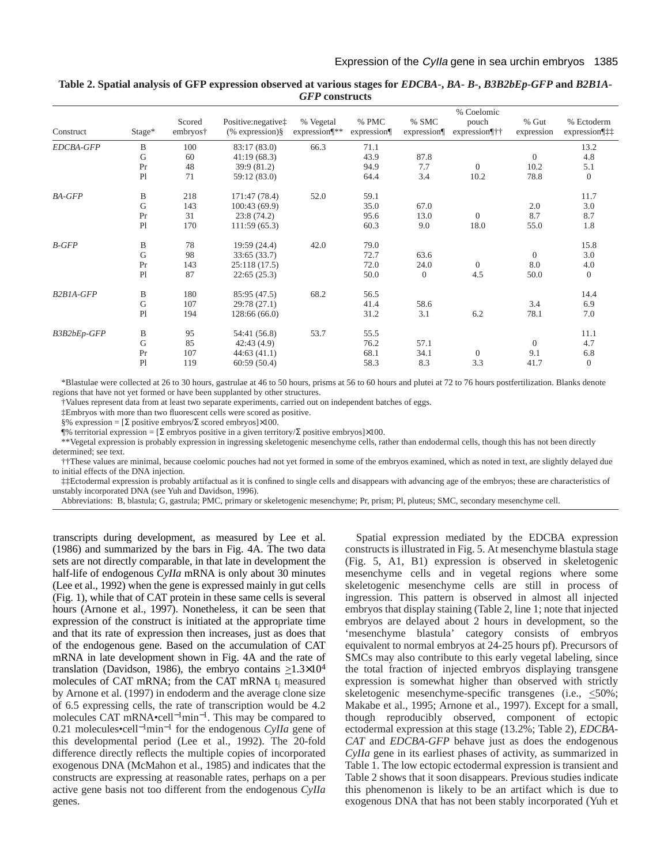| Construct                           | Stage*      | Scored<br>embryos† | Positive: negative‡<br>$%$ expression) $§$ | % Vegetal<br>expression¶** | % PMC<br>expression <sub>1</sub> | % SMC<br>expression <sub>1</sub> | % Coelomic<br>pouch<br>expression¶†† | $%$ Gut<br>expression | % Ectoderm<br>expression¶‡‡ |
|-------------------------------------|-------------|--------------------|--------------------------------------------|----------------------------|----------------------------------|----------------------------------|--------------------------------------|-----------------------|-----------------------------|
| EDCBA-GFP                           | B           | 100                | 83:17 (83.0)                               | 66.3                       | 71.1                             |                                  |                                      |                       | 13.2                        |
|                                     | G           | 60                 | 41:19(68.3)                                |                            | 43.9                             | 87.8                             |                                      | $\overline{0}$        | 4.8                         |
|                                     | Pr          | 48                 | 39:9 (81.2)                                |                            | 94.9                             | 7.7                              | $\theta$                             | 10.2                  | 5.1                         |
|                                     | P1          | 71                 | 59:12 (83.0)                               |                            | 64.4                             | 3.4                              | 10.2                                 | 78.8                  | $\overline{0}$              |
| <b>BA-GFP</b>                       | B           | 218                | 171:47 (78.4)                              | 52.0                       | 59.1                             |                                  |                                      |                       | 11.7                        |
|                                     | G           | 143                | 100:43(69.9)                               |                            | 35.0                             | 67.0                             |                                      | 2.0                   | 3.0                         |
|                                     | Pr          | 31                 | 23:8(74.2)                                 |                            | 95.6                             | 13.0                             | $\theta$                             | 8.7                   | 8.7                         |
|                                     | P1          | 170                | 111:59(65.3)                               |                            | 60.3                             | 9.0                              | 18.0                                 | 55.0                  | 1.8                         |
| $B$ -GFP                            | B           | 78                 | 19:59 (24.4)                               | 42.0                       | 79.0                             |                                  |                                      |                       | 15.8                        |
|                                     | ${\bf G}$   | 98                 | 33:65 (33.7)                               |                            | 72.7                             | 63.6                             |                                      | $\overline{0}$        | 3.0                         |
|                                     | Pr          | 143                | 25:118(17.5)                               |                            | 72.0                             | 24.0                             | $\theta$                             | 8.0                   | 4.0                         |
|                                     | P1          | 87                 | 22:65(25.3)                                |                            | 50.0                             | $\overline{0}$                   | 4.5                                  | 50.0                  | $\mathbf{0}$                |
| B <sub>2</sub> B <sub>1</sub> A-GFP | B           | 180                | 85:95 (47.5)                               | 68.2                       | 56.5                             |                                  |                                      |                       | 14.4                        |
|                                     | G           | 107                | 29:78 (27.1)                               |                            | 41.4                             | 58.6                             |                                      | 3.4                   | 6.9                         |
|                                     | P1          | 194                | 128:66(66.0)                               |                            | 31.2                             | 3.1                              | 6.2                                  | 78.1                  | 7.0                         |
| B3B2bEp-GFP                         | B           | 95                 | 54:41 (56.8)                               | 53.7                       | 55.5                             |                                  |                                      |                       | 11.1                        |
|                                     | $\mathbf G$ | 85                 | 42:43(4.9)                                 |                            | 76.2                             | 57.1                             |                                      | $\overline{0}$        | 4.7                         |
|                                     | Pr          | 107                | 44:63(41.1)                                |                            | 68.1                             | 34.1                             | $\theta$                             | 9.1                   | 6.8                         |
|                                     | P1          | 119                | 60:59(50.4)                                |                            | 58.3                             | 8.3                              | 3.3                                  | 41.7                  | $\theta$                    |

# **Table 2. Spatial analysis of GFP expression observed at various stages for** *EDCBA***-,** *BA***-** *B***-,** *B3B2bEp-GFP* **and** *B2B1A-GFP* **constructs**

\*Blastulae were collected at 26 to 30 hours, gastrulae at 46 to 50 hours, prisms at 56 to 60 hours and plutei at 72 to 76 hours postfertilization. Blanks denote regions that have not yet formed or have been supplanted by other structures.

†Values represent data from at least two separate experiments, carried out on independent batches of eggs.

‡Embryos with more than two fluorescent cells were scored as positive.

§% expression = [Σ positive embryos/Σ scored embryos]×100.

¶% territorial expression = [Σ embryos positive in a given territory/Σ positive embryos]×100.

\*\*Vegetal expression is probably expression in ingressing skeletogenic mesenchyme cells, rather than endodermal cells, though this has not been directly determined; see text.

††These values are minimal, because coelomic pouches had not yet formed in some of the embryos examined, which as noted in text, are slightly delayed due to initial effects of the DNA injection.

‡‡Ectodermal expression is probably artifactual as it is confined to single cells and disappears with advancing age of the embryos; these are characteristics of unstably incorporated DNA (see Yuh and Davidson, 1996).

Abbreviations: B, blastula; G, gastrula; PMC, primary or skeletogenic mesenchyme; Pr, prism; Pl, pluteus; SMC, secondary mesenchyme cell.

transcripts during development, as measured by Lee et al. (1986) and summarized by the bars in Fig. 4A. The two data sets are not directly comparable, in that late in development the half-life of endogenous *CyIIa* mRNA is only about 30 minutes (Lee et al., 1992) when the gene is expressed mainly in gut cells (Fig. 1), while that of CAT protein in these same cells is several hours (Arnone et al., 1997). Nonetheless, it can be seen that expression of the construct is initiated at the appropriate time and that its rate of expression then increases, just as does that of the endogenous gene. Based on the accumulation of CAT mRNA in late development shown in Fig. 4A and the rate of translation (Davidson, 1986), the embryo contains  $\geq 1.3 \times 10^4$ molecules of CAT mRNA; from the CAT mRNA  $t_1$  measured by Arnone et al. (1997) in endoderm and the average clone size of 6.5 expressing cells, the rate of transcription would be 4.2 molecules CAT mRNA•cell<sup>-1</sup>min<sup>-1</sup>. This may be compared to 0.21 molecules•cell<sup>−</sup>1min−<sup>1</sup> for the endogenous *CyIIa* gene of this developmental period (Lee et al., 1992). The 20-fold difference directly reflects the multiple copies of incorporated exogenous DNA (McMahon et al., 1985) and indicates that the constructs are expressing at reasonable rates, perhaps on a per active gene basis not too different from the endogenous *CyIIa* genes.

Spatial expression mediated by the EDCBA expression constructs is illustrated in Fig. 5. At mesenchyme blastula stage (Fig. 5, A1, B1) expression is observed in skeletogenic mesenchyme cells and in vegetal regions where some skeletogenic mesenchyme cells are still in process of ingression. This pattern is observed in almost all injected embryos that display staining (Table 2, line 1; note that injected embryos are delayed about 2 hours in development, so the 'mesenchyme blastula' category consists of embryos equivalent to normal embryos at 24-25 hours pf). Precursors of SMCs may also contribute to this early vegetal labeling, since the total fraction of injected embryos displaying transgene expression is somewhat higher than observed with strictly skeletogenic mesenchyme-specific transgenes (i.e.,  $\leq 50\%$ ; Makabe et al., 1995; Arnone et al., 1997). Except for a small, though reproducibly observed, component of ectopic ectodermal expression at this stage (13.2%; Table 2), *EDCBA-CAT* and *EDCBA-GFP* behave just as does the endogenous *CyIIa* gene in its earliest phases of activity, as summarized in Table 1. The low ectopic ectodermal expression is transient and Table 2 shows that it soon disappears. Previous studies indicate this phenomenon is likely to be an artifact which is due to exogenous DNA that has not been stably incorporated (Yuh et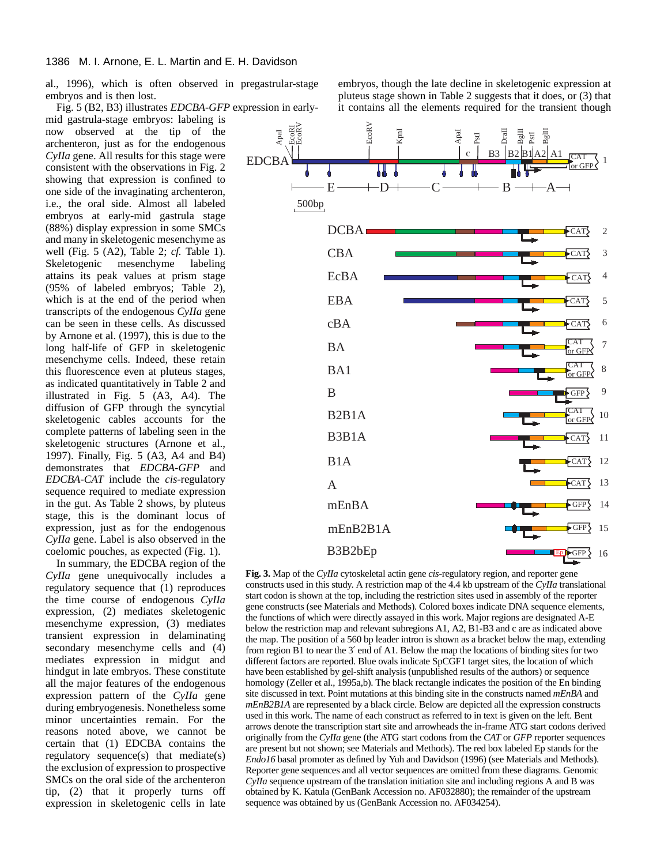al., 1996), which is often observed in pregastrular-stage embryos and is then lost.

Fig. 5 (B2, B3) illustrates *EDCBA-GFP* expression in early-

mid gastrula-stage embryos: labeling is now observed at the tip of the archenteron, just as for the endogenous *CyIIa* gene. All results for this stage were consistent with the observations in Fig. 2 showing that expression is confined to one side of the invaginating archenteron, i.e., the oral side. Almost all labeled embryos at early-mid gastrula stage (88%) display expression in some SMCs and many in skeletogenic mesenchyme as well (Fig. 5 (A2), Table 2; *cf.* Table 1). Skeletogenic mesenchyme labeling attains its peak values at prism stage (95% of labeled embryos; Table 2), which is at the end of the period when transcripts of the endogenous *CyIIa* gene can be seen in these cells. As discussed by Arnone et al. (1997), this is due to the long half-life of GFP in skeletogenic mesenchyme cells. Indeed, these retain this fluorescence even at pluteus stages, as indicated quantitatively in Table 2 and illustrated in Fig. 5 (A3, A4). The diffusion of GFP through the syncytial skeletogenic cables accounts for the complete patterns of labeling seen in the skeletogenic structures (Arnone et al., 1997). Finally, Fig. 5 (A3, A4 and B4) demonstrates that *EDCBA-GFP* and *EDCBA-CAT* include the *cis*-regulatory sequence required to mediate expression in the gut. As Table 2 shows, by pluteus stage, this is the dominant locus of expression, just as for the endogenous *CyIIa* gene. Label is also observed in the coelomic pouches, as expected (Fig. 1).

In summary, the EDCBA region of the *CyIIa* gene unequivocally includes a regulatory sequence that (1) reproduces the time course of endogenous *CyIIa* expression, (2) mediates skeletogenic mesenchyme expression, (3) mediates transient expression in delaminating secondary mesenchyme cells and (4) mediates expression in midgut and hindgut in late embryos. These constitute all the major features of the endogenous expression pattern of the *CyIIa* gene during embryogenesis. Nonetheless some minor uncertainties remain. For the reasons noted above, we cannot be certain that (1) EDCBA contains the regulatory sequence(s) that mediate(s) the exclusion of expression to prospective SMCs on the oral side of the archenteron tip, (2) that it properly turns off expression in skeletogenic cells in late

embryos, though the late decline in skeletogenic expression at pluteus stage shown in Table 2 suggests that it does, or (3) that it contains all the elements required for the transient though



**Fig. 3.** Map of the *CyIIa* cytoskeletal actin gene *cis*-regulatory region, and reporter gene constructs used in this study. A restriction map of the 4.4 kb upstream of the *CyIIa* translational start codon is shown at the top, including the restriction sites used in assembly of the reporter gene constructs (see Materials and Methods). Colored boxes indicate DNA sequence elements, the functions of which were directly assayed in this work. Major regions are designated A-E below the restriction map and relevant subregions A1, A2, B1-B3 and c are as indicated above the map. The position of a 560 bp leader intron is shown as a bracket below the map, extending from region B1 to near the 3′ end of A1. Below the map the locations of binding sites for two different factors are reported. Blue ovals indicate SpCGF1 target sites, the location of which have been established by gel-shift analysis (unpublished results of the authors) or sequence homology (Zeller et al., 1995a,b). The black rectangle indicates the position of the En binding site discussed in text. Point mutations at this binding site in the constructs named *mEnBA* and *mEnB2B1A* are represented by a black circle. Below are depicted all the expression constructs used in this work. The name of each construct as referred to in text is given on the left. Bent arrows denote the transcription start site and arrowheads the in-frame ATG start codons derived originally from the *CyIIa* gene (the ATG start codons from the *CAT* or *GFP* reporter sequences are present but not shown; see Materials and Methods). The red box labeled Ep stands for the *Endo16* basal promoter as defined by Yuh and Davidson (1996) (see Materials and Methods). Reporter gene sequences and all vector sequences are omitted from these diagrams. Genomic *CyIIa* sequence upstream of the translation initiation site and including regions A and B was obtained by K. Katula (GenBank Accession no. AF032880); the remainder of the upstream sequence was obtained by us (GenBank Accession no. AF034254).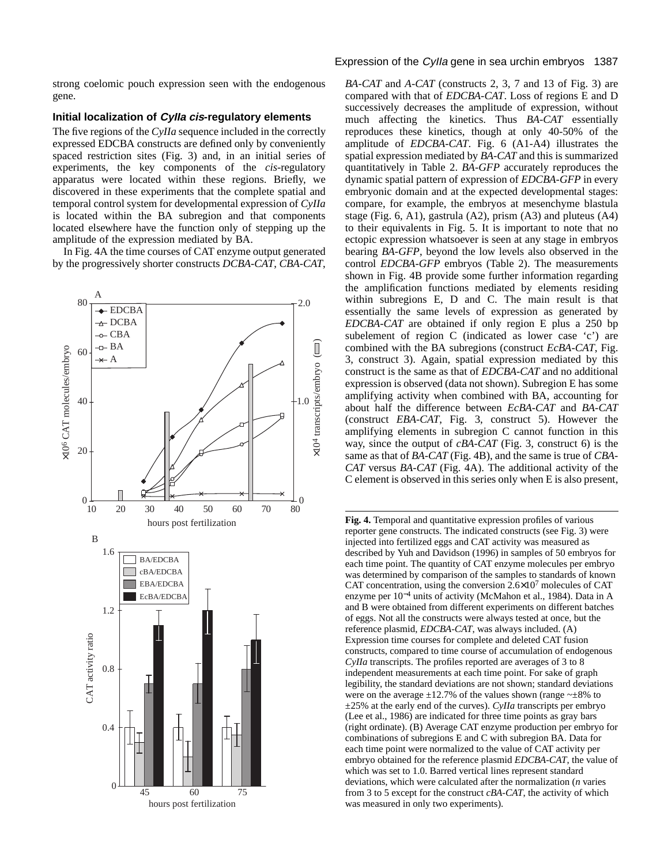strong coelomic pouch expression seen with the endogenous gene.

#### **Initial localization of CyIIa cis-regulatory elements**

The five regions of the *CyIIa* sequence included in the correctly expressed EDCBA constructs are defined only by conveniently spaced restriction sites (Fig. 3) and, in an initial series of experiments, the key components of the *cis*-regulatory apparatus were located within these regions. Briefly, we discovered in these experiments that the complete spatial and temporal control system for developmental expression of *CyIIa* is located within the BA subregion and that components located elsewhere have the function only of stepping up the amplitude of the expression mediated by BA.

In Fig. 4A the time courses of CAT enzyme output generated by the progressively shorter constructs *DCBA-CAT*, *CBA-CAT*,



# Expression of the Cylla gene in sea urchin embryos 1387

*BA-CAT* and *A-CAT* (constructs 2, 3, 7 and 13 of Fig. 3) are compared with that of *EDCBA-CAT*. Loss of regions E and D successively decreases the amplitude of expression, without much affecting the kinetics. Thus *BA-CAT* essentially reproduces these kinetics, though at only 40-50% of the amplitude of *EDCBA-CAT*. Fig. 6 (A1-A4) illustrates the spatial expression mediated by *BA-CAT* and this is summarized quantitatively in Table 2. *BA-GFP* accurately reproduces the dynamic spatial pattern of expression of *EDCBA-GFP* in every embryonic domain and at the expected developmental stages: compare, for example, the embryos at mesenchyme blastula stage (Fig. 6, A1), gastrula (A2), prism (A3) and pluteus (A4) to their equivalents in Fig. 5. It is important to note that no ectopic expression whatsoever is seen at any stage in embryos bearing *BA-GFP*, beyond the low levels also observed in the control *EDCBA-GFP* embryos (Table 2). The measurements shown in Fig. 4B provide some further information regarding the amplification functions mediated by elements residing within subregions E, D and C. The main result is that essentially the same levels of expression as generated by *EDCBA-CAT* are obtained if only region E plus a 250 bp subelement of region C (indicated as lower case 'c') are combined with the BA subregions (construct *EcBA-CAT*, Fig. 3, construct 3). Again, spatial expression mediated by this construct is the same as that of *EDCBA-CAT* and no additional expression is observed (data not shown). Subregion E has some amplifying activity when combined with BA, accounting for about half the difference between *EcBA-CAT* and *BA-CAT* (construct *EBA-CAT*, Fig. 3, construct 5). However the amplifying elements in subregion C cannot function in this way, since the output of *cBA-CAT* (Fig. 3, construct 6) is the same as that of *BA-CAT* (Fig. 4B), and the same is true of *CBA-CAT* versus *BA-CAT* (Fig. 4A). The additional activity of the C element is observed in this series only when E is also present,

**Fig. 4.** Temporal and quantitative expression profiles of various reporter gene constructs. The indicated constructs (see Fig. 3) were injected into fertilized eggs and CAT activity was measured as described by Yuh and Davidson (1996) in samples of 50 embryos for each time point. The quantity of CAT enzyme molecules per embryo was determined by comparison of the samples to standards of known CAT concentration, using the conversion  $2.6\times10^7$  molecules of CAT enzyme per 10−<sup>4</sup> units of activity (McMahon et al., 1984). Data in A and B were obtained from different experiments on different batches of eggs. Not all the constructs were always tested at once, but the reference plasmid, *EDCBA-CAT*, was always included. (A) Expression time courses for complete and deleted CAT fusion constructs, compared to time course of accumulation of endogenous *CyIIa* transcripts. The profiles reported are averages of 3 to 8 independent measurements at each time point. For sake of graph legibility, the standard deviations are not shown; standard deviations were on the average  $\pm 12.7\%$  of the values shown (range  $\sim \pm 8\%$  to ±25% at the early end of the curves). *CyIIa* transcripts per embryo (Lee et al., 1986) are indicated for three time points as gray bars (right ordinate). (B) Average CAT enzyme production per embryo for combinations of subregions E and C with subregion BA. Data for each time point were normalized to the value of CAT activity per embryo obtained for the reference plasmid *EDCBA-CAT*, the value of which was set to 1.0. Barred vertical lines represent standard deviations, which were calculated after the normalization (*n* varies from 3 to 5 except for the construct *cBA-CAT*, the activity of which was measured in only two experiments).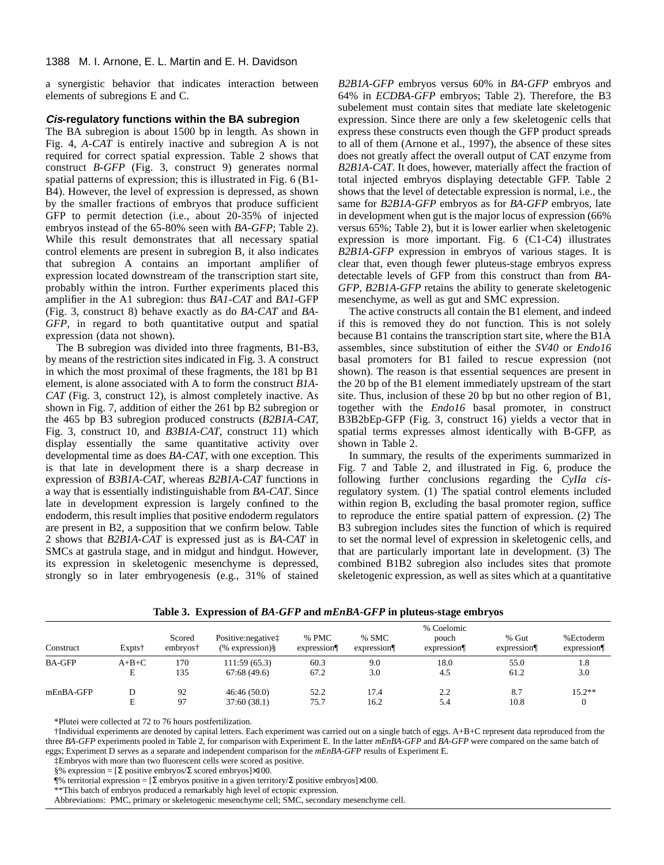a synergistic behavior that indicates interaction between elements of subregions E and C.

## **Cis-regulatory functions within the BA subregion**

The BA subregion is about 1500 bp in length. As shown in Fig. 4, *A-CAT* is entirely inactive and subregion A is not required for correct spatial expression. Table 2 shows that construct *B-GFP* (Fig. 3, construct 9) generates normal spatial patterns of expression; this is illustrated in Fig. 6 (B1- B4). However, the level of expression is depressed, as shown by the smaller fractions of embryos that produce sufficient GFP to permit detection (i.e., about 20-35% of injected embryos instead of the 65-80% seen with *BA-GFP*; Table 2). While this result demonstrates that all necessary spatial control elements are present in subregion B, it also indicates that subregion A contains an important amplifier of expression located downstream of the transcription start site, probably within the intron. Further experiments placed this amplifier in the A1 subregion: thus *BA1-CAT* and *BA1*-GFP (Fig. 3, construct 8) behave exactly as do *BA-CAT* and *BA-GFP*, in regard to both quantitative output and spatial expression (data not shown).

The B subregion was divided into three fragments, B1-B3, by means of the restriction sites indicated in Fig. 3. A construct in which the most proximal of these fragments, the 181 bp B1 element, is alone associated with A to form the construct *B1A-CAT* (Fig. 3, construct 12), is almost completely inactive. As shown in Fig. 7, addition of either the 261 bp B2 subregion or the 465 bp B3 subregion produced constructs (*B2B1A-CAT,* Fig. 3, construct 10, and *B3B1A-CAT*, construct 11) which display essentially the same quantitative activity over developmental time as does *BA-CAT*, with one exception. This is that late in development there is a sharp decrease in expression of *B3B1A-CAT*, whereas *B2B1A-CAT* functions in a way that is essentially indistinguishable from *BA-CAT*. Since late in development expression is largely confined to the endoderm, this result implies that positive endoderm regulators are present in B2, a supposition that we confirm below. Table 2 shows that *B2B1A-CAT* is expressed just as is *BA-CAT* in SMCs at gastrula stage, and in midgut and hindgut. However, its expression in skeletogenic mesenchyme is depressed, strongly so in later embryogenesis (e.g., 31% of stained

*B2B1A-GFP* embryos versus 60% in *BA-GFP* embryos and 64% in *ECDBA-GFP* embryos; Table 2). Therefore, the B3 subelement must contain sites that mediate late skeletogenic expression. Since there are only a few skeletogenic cells that express these constructs even though the GFP product spreads to all of them (Arnone et al., 1997), the absence of these sites does not greatly affect the overall output of CAT enzyme from *B2B1A-CAT*. It does, however, materially affect the fraction of total injected embryos displaying detectable GFP. Table 2 shows that the level of detectable expression is normal, i.e., the same for *B2B1A-GFP* embryos as for *BA-GFP* embryos, late in development when gut is the major locus of expression (66% versus 65%; Table 2), but it is lower earlier when skeletogenic expression is more important. Fig. 6 (C1-C4) illustrates *B2B1A-GFP* expression in embryos of various stages. It is clear that, even though fewer pluteus-stage embryos express detectable levels of GFP from this construct than from *BA-GFP*, *B2B1A-GFP* retains the ability to generate skeletogenic mesenchyme, as well as gut and SMC expression.

The active constructs all contain the B1 element, and indeed if this is removed they do not function. This is not solely because B1 contains the transcription start site, where the B1A assembles, since substitution of either the *SV40* or *Endo16* basal promoters for B1 failed to rescue expression (not shown). The reason is that essential sequences are present in the 20 bp of the B1 element immediately upstream of the start site. Thus, inclusion of these 20 bp but no other region of B1, together with the *Endo16* basal promoter, in construct B3B2bEp-GFP (Fig. 3, construct 16) yields a vector that in spatial terms expresses almost identically with B-GFP, as shown in Table 2.

In summary, the results of the experiments summarized in Fig. 7 and Table 2, and illustrated in Fig. 6, produce the following further conclusions regarding the *CyIIa cis*regulatory system. (1) The spatial control elements included within region B, excluding the basal promoter region, suffice to reproduce the entire spatial pattern of expression. (2) The B3 subregion includes sites the function of which is required to set the normal level of expression in skeletogenic cells, and that are particularly important late in development. (3) The combined B1B2 subregion also includes sites that promote skeletogenic expression, as well as sites which at a quantitative

| Construct     | Expts <sup>†</sup> | Scored<br>embryos <sup>†</sup> | Positive: negative <sup>†</sup><br>$(\%$ expression) $§$ | % PMC<br>expression <sub>1</sub> | % SMC<br>expression | % Coelomic<br>pouch<br>expression | % Gut<br>expression <sub>1</sub> | %Ectoderm<br>expression <sup>q</sup> |
|---------------|--------------------|--------------------------------|----------------------------------------------------------|----------------------------------|---------------------|-----------------------------------|----------------------------------|--------------------------------------|
| <b>BA-GFP</b> | $A+B+C$<br>Е       | 170<br>135                     | 111:59 (65.3)<br>67:68(49.6)                             | 60.3<br>67.2                     | 9.0<br>3.0          | 18.0<br>4.5                       | 55.0<br>61.2                     | 1.8<br>3.0                           |
| mEnBA-GFP     | D                  | 92<br>97                       | 46:46(50.0)<br>37:60(38.1)                               | 52.2<br>75.7                     | 17.4<br>16.2        | 2.2<br>5.4                        | 8.7<br>10.8                      | $15.2**$                             |

**Table 3. Expression of** *BA-GFP* **and** *mEnBA-GFP* **in pluteus-stage embryos**

\*Plutei were collected at 72 to 76 hours postfertilization.

†Individual experiments are denoted by capital letters. Each experiment was carried out on a single batch of eggs. A+B+C represent data reproduced from the three *BA-GFP* experiments pooled in Table 2, for comparison with Experiment E. In the latter *mEnBA-GFP* and *BA-GFP* were compared on the same batch of eggs; Experiment D serves as a separate and independent comparison for the *mEnBA-GFP* results of Experiment E.

‡Embryos with more than two fluorescent cells were scored as positive.

§% expression = [Σ positive embryos/Σ scored embryos]×100.

 $\%$  territorial expression = [Σ embryos positive in a given territory/Σ positive embryos]×100.

\*\*This batch of embryos produced a remarkably high level of ectopic expression.

Abbreviations: PMC, primary or skeletogenic mesenchyme cell; SMC, secondary mesenchyme cell.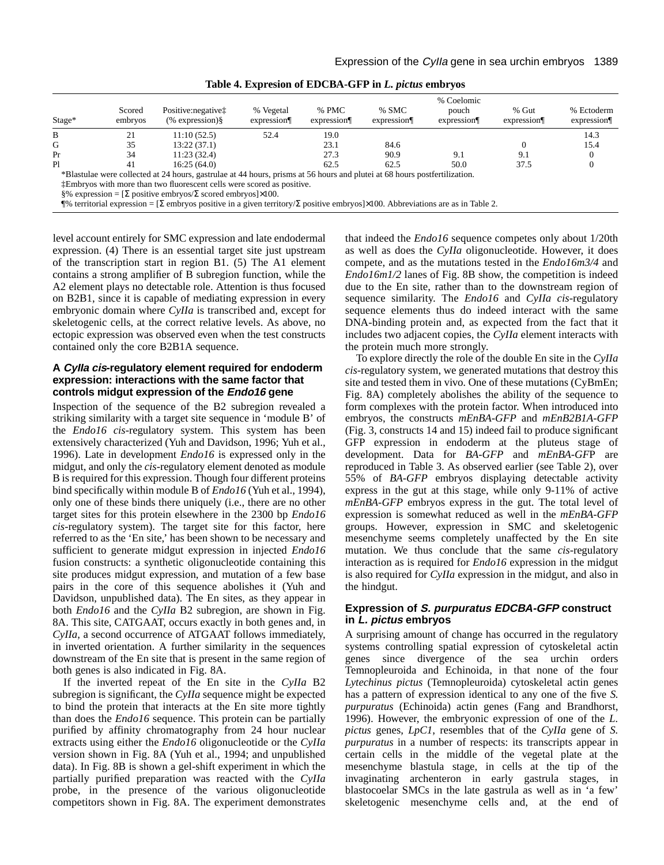| Stage* | Scored<br>embryos | Positive: negative:<br>$(\%$ expression) $§$                                                                                                                                                                                        | % Vegetal<br>expression <sup>q</sup> | % PMC<br>expression | % SMC<br>expression <sub>1</sub> | % Coelomic<br>pouch<br>expression | % Gut<br>expression | % Ectoderm<br>expression |
|--------|-------------------|-------------------------------------------------------------------------------------------------------------------------------------------------------------------------------------------------------------------------------------|--------------------------------------|---------------------|----------------------------------|-----------------------------------|---------------------|--------------------------|
| B      | 21                | 11:10(52.5)                                                                                                                                                                                                                         | 52.4                                 | 19.0                |                                  |                                   |                     | 14.3                     |
| G      | 35                | 13:22(37.1)                                                                                                                                                                                                                         |                                      | 23.1                | 84.6                             |                                   |                     | 15.4                     |
| Pr     | 34                | 11:23(32.4)                                                                                                                                                                                                                         |                                      | 27.3                | 90.9                             | 9.1                               | 9.1                 |                          |
| Pl     | 41                | 16:25(64.0)                                                                                                                                                                                                                         |                                      | 62.5                | 62.5                             | 50.0                              | 37.5                |                          |
|        |                   | *Blastulae were collected at 24 hours, gastrulae at 44 hours, prisms at 56 hours and plutei at 68 hours postfertilization.                                                                                                          |                                      |                     |                                  |                                   |                     |                          |
|        |                   | <b>TEMPLE 1.1</b> TEMPLE TEMPLE TEMPLE TEMPLE TEMPLE TEMPLE TEMPLE TEMPLE TEMPLE TEMPLE TEMPLE TEMPLE TEMPLE TEMPLE TEMPLE TEMPLE TEMPLE TEMPLE TEMPLE TEMPLE TEMPLE TEMPLE TEMPLE TEMPLE TEMPLE TEMPLE TEMPLE TEMPLE TEMPLE TEMPLE |                                      |                     |                                  |                                   |                     |                          |

 $§\%$  expression = [Σ positive embryos/Σ scored embryos]×100.

¶% territorial expression = [Σ embryos positive in a given territory/Σ positive embryos]×100. Abbreviations are as in Table 2.

level account entirely for SMC expression and late endodermal expression. (4) There is an essential target site just upstream of the transcription start in region B1. (5) The A1 element contains a strong amplifier of B subregion function, while the A2 element plays no detectable role. Attention is thus focused on B2B1, since it is capable of mediating expression in every embryonic domain where *CyIIa* is transcribed and, except for skeletogenic cells, at the correct relative levels. As above, no ectopic expression was observed even when the test constructs contained only the core B2B1A sequence.

# **A CyIIa cis-regulatory element required for endoderm expression: interactions with the same factor that controls midgut expression of the Endo16 gene**

Inspection of the sequence of the B2 subregion revealed a striking similarity with a target site sequence in 'module B' of the *Endo16 cis*-regulatory system. This system has been extensively characterized (Yuh and Davidson, 1996; Yuh et al., 1996). Late in development *Endo16* is expressed only in the midgut, and only the *cis*-regulatory element denoted as module B is required for this expression. Though four different proteins bind specifically within module B of *Endo16* (Yuh et al., 1994), only one of these binds there uniquely (i.e., there are no other target sites for this protein elsewhere in the 2300 bp *Endo16 cis*-regulatory system). The target site for this factor, here referred to as the 'En site,' has been shown to be necessary and sufficient to generate midgut expression in injected *Endo16* fusion constructs: a synthetic oligonucleotide containing this site produces midgut expression, and mutation of a few base pairs in the core of this sequence abolishes it (Yuh and Davidson, unpublished data). The En sites, as they appear in both *Endo16* and the *CyIIa* B2 subregion, are shown in Fig. 8A. This site, CATGAAT, occurs exactly in both genes and, in *CyIIa*, a second occurrence of ATGAAT follows immediately, in inverted orientation. A further similarity in the sequences downstream of the En site that is present in the same region of both genes is also indicated in Fig. 8A.

If the inverted repeat of the En site in the *CyIIa* B2 subregion is significant, the *CyIIa* sequence might be expected to bind the protein that interacts at the En site more tightly than does the *Endo16* sequence. This protein can be partially purified by affinity chromatography from 24 hour nuclear extracts using either the *Endo16* oligonucleotide or the *CyIIa* version shown in Fig. 8A (Yuh et al., 1994; and unpublished data). In Fig. 8B is shown a gel-shift experiment in which the partially purified preparation was reacted with the *CyIIa* probe, in the presence of the various oligonucleotide competitors shown in Fig. 8A. The experiment demonstrates

that indeed the *Endo16* sequence competes only about 1/20th as well as does the *CyIIa* oligonucleotide. However, it does compete, and as the mutations tested in the *Endo16m3/4* and *Endo16m1/2* lanes of Fig. 8B show, the competition is indeed due to the En site, rather than to the downstream region of sequence similarity. The *Endo16* and *CyIIa cis*-regulatory sequence elements thus do indeed interact with the same DNA-binding protein and, as expected from the fact that it includes two adjacent copies, the *CyIIa* element interacts with the protein much more strongly.

To explore directly the role of the double En site in the *CyIIa cis*-regulatory system, we generated mutations that destroy this site and tested them in vivo. One of these mutations (CyBmEn; Fig. 8A) completely abolishes the ability of the sequence to form complexes with the protein factor. When introduced into embryos, the constructs *mEnBA-GFP* and *mEnB2B1A-GFP* (Fig. 3, constructs 14 and 15) indeed fail to produce significant GFP expression in endoderm at the pluteus stage of development. Data for *BA-GFP* and *mEnBA-GF*P are reproduced in Table 3. As observed earlier (see Table 2), over 55% of *BA-GFP* embryos displaying detectable activity express in the gut at this stage, while only 9-11% of active *mEnBA-GFP* embryos express in the gut. The total level of expression is somewhat reduced as well in the *mEnBA-GFP* groups. However, expression in SMC and skeletogenic mesenchyme seems completely unaffected by the En site mutation. We thus conclude that the same *cis*-regulatory interaction as is required for *Endo16* expression in the midgut is also required for *CyIIa* expression in the midgut, and also in the hindgut.

# **Expression of S. purpuratus EDCBA-GFP construct in L. pictus embryos**

A surprising amount of change has occurred in the regulatory systems controlling spatial expression of cytoskeletal actin genes since divergence of the sea urchin orders Temnopleuroida and Echinoida, in that none of the four *Lytechinus pictus* (Temnopleuroida) cytoskeletal actin genes has a pattern of expression identical to any one of the five *S. purpuratus* (Echinoida) actin genes (Fang and Brandhorst, 1996). However, the embryonic expression of one of the *L. pictus* genes, *LpC1*, resembles that of the *CyIIa* gene of *S. purpuratus* in a number of respects: its transcripts appear in certain cells in the middle of the vegetal plate at the mesenchyme blastula stage, in cells at the tip of the invaginating archenteron in early gastrula stages, in blastocoelar SMCs in the late gastrula as well as in 'a few' skeletogenic mesenchyme cells and, at the end of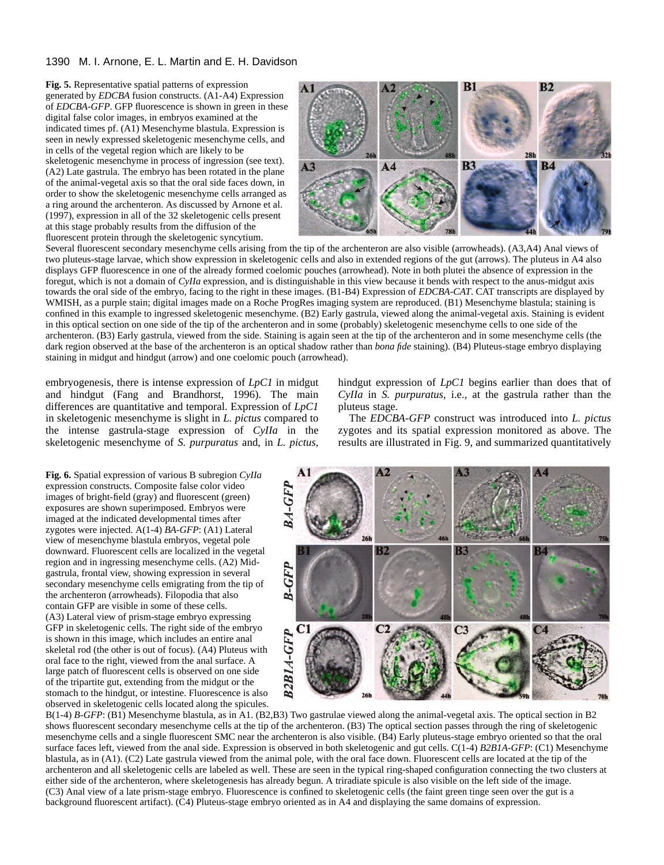**Fig. 5.** Representative spatial patterns of expression generated by *EDCBA* fusion constructs. (A1-A4) Expression of *EDCBA-GFP*. GFP fluorescence is shown in green in these digital false color images, in embryos examined at the indicated times pf. (A1) Mesenchyme blastula. Expression is seen in newly expressed skeletogenic mesenchyme cells, and in cells of the vegetal region which are likely to be skeletogenic mesenchyme in process of ingression (see text). (A2) Late gastrula. The embryo has been rotated in the plane of the animal-vegetal axis so that the oral side faces down, in order to show the skeletogenic mesenchyme cells arranged as a ring around the archenteron. As discussed by Arnone et al. (1997), expression in all of the 32 skeletogenic cells present at this stage probably results from the diffusion of the fluorescent protein through the skeletogenic syncytium.



Several fluorescent secondary mesenchyme cells arising from the tip of the archenteron are also visible (arrowheads). (A3,A4) Anal views of two pluteus-stage larvae, which show expression in skeletogenic cells and also in extended regions of the gut (arrows). The pluteus in A4 also displays GFP fluorescence in one of the already formed coelomic pouches (arrowhead). Note in both plutei the absence of expression in the foregut, which is not a domain of *CyIIa* expression, and is distinguishable in this view because it bends with respect to the anus-midgut axis towards the oral side of the embryo, facing to the right in these images. (B1-B4) Expression of *EDCBA-CAT*. CAT transcripts are displayed by WMISH, as a purple stain; digital images made on a Roche ProgRes imaging system are reproduced. (B1) Mesenchyme blastula; staining is confined in this example to ingressed skeletogenic mesenchyme. (B2) Early gastrula, viewed along the animal-vegetal axis. Staining is evident in this optical section on one side of the tip of the archenteron and in some (probably) skeletogenic mesenchyme cells to one side of the archenteron. (B3) Early gastrula, viewed from the side. Staining is again seen at the tip of the archenteron and in some mesenchyme cells (the dark region observed at the base of the archenteron is an optical shadow rather than *bona fide* staining). (B4) Pluteus-stage embryo displaying staining in midgut and hindgut (arrow) and one coelomic pouch (arrowhead).

embryogenesis, there is intense expression of *LpC1* in midgut and hindgut (Fang and Brandhorst, 1996). The main differences are quantitative and temporal. Expression of *LpC1* in skeletogenic mesenchyme is slight in *L. pictus* compared to the intense gastrula-stage expression of *CyIIa* in the skeletogenic mesenchyme of *S. purpuratus* and, in *L. pictus*,

**Fig. 6.** Spatial expression of various B subregion *CyIIa* expression constructs. Composite false color video images of bright-field (gray) and fluorescent (green) exposures are shown superimposed. Embryos were imaged at the indicated developmental times after zygotes were injected. A(1-4) *BA-GFP*: (A1) Lateral view of mesenchyme blastula embryos, vegetal pole downward. Fluorescent cells are localized in the vegetal region and in ingressing mesenchyme cells. (A2) Midgastrula, frontal view, showing expression in several secondary mesenchyme cells emigrating from the tip of the archenteron (arrowheads). Filopodia that also contain GFP are visible in some of these cells. (A3) Lateral view of prism-stage embryo expressing GFP in skeletogenic cells. The right side of the embryo is shown in this image, which includes an entire anal skeletal rod (the other is out of focus). (A4) Pluteus with oral face to the right, viewed from the anal surface. A large patch of fluorescent cells is observed on one side of the tripartite gut, extending from the midgut or the stomach to the hindgut, or intestine. Fluorescence is also observed in skeletogenic cells located along the spicules. hindgut expression of *LpC1* begins earlier than does that of *CyIIa* in *S. purpuratus*, i.e., at the gastrula rather than the pluteus stage.

The *EDCBA-GFP* construct was introduced into *L. pictus* zygotes and its spatial expression monitored as above. The results are illustrated in Fig. 9, and summarized quantitatively



B(1-4) *B-GFP*: (B1) Mesenchyme blastula, as in A1. (B2,B3) Two gastrulae viewed along the animal-vegetal axis. The optical section in B2 shows fluorescent secondary mesenchyme cells at the tip of the archenteron. (B3) The optical section passes through the ring of skeletogenic mesenchyme cells and a single fluorescent SMC near the archenteron is also visible. (B4) Early pluteus-stage embryo oriented so that the oral surface faces left, viewed from the anal side. Expression is observed in both skeletogenic and gut cells. C(1-4) *B2B1A-GFP*: (C1) Mesenchyme blastula, as in (A1). (C2) Late gastrula viewed from the animal pole, with the oral face down. Fluorescent cells are located at the tip of the archenteron and all skeletogenic cells are labeled as well. These are seen in the typical ring-shaped configuration connecting the two clusters at either side of the archenteron, where skeletogenesis has already begun. A triradiate spicule is also visible on the left side of the image. (C3) Anal view of a late prism-stage embryo. Fluorescence is confined to skeletogenic cells (the faint green tinge seen over the gut is a background fluorescent artifact). (C4) Pluteus-stage embryo oriented as in A4 and displaying the same domains of expression.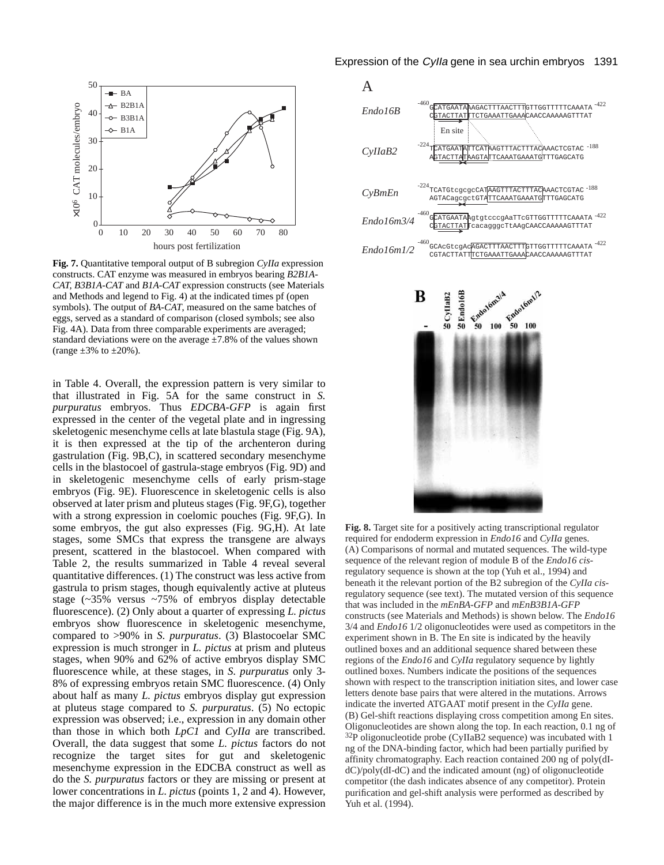

**Fig. 7.** Quantitative temporal output of B subregion *CyIIa* expression constructs. CAT enzyme was measured in embryos bearing *B2B1A-CAT, B3B1A-CAT* and *B1A-CAT* expression constructs (see Materials and Methods and legend to Fig. 4) at the indicated times pf (open symbols). The output of *BA-CAT*, measured on the same batches of eggs, served as a standard of comparison (closed symbols; see also Fig. 4A). Data from three comparable experiments are averaged; standard deviations were on the average  $\pm 7.8\%$  of the values shown (range  $\pm 3\%$  to  $\pm 20\%$ ).

in Table 4. Overall, the expression pattern is very similar to that illustrated in Fig. 5A for the same construct in *S. purpuratus* embryos. Thus *EDCBA-GFP* is again first expressed in the center of the vegetal plate and in ingressing skeletogenic mesenchyme cells at late blastula stage (Fig. 9A), it is then expressed at the tip of the archenteron during gastrulation (Fig. 9B,C), in scattered secondary mesenchyme cells in the blastocoel of gastrula-stage embryos (Fig. 9D) and in skeletogenic mesenchyme cells of early prism-stage embryos (Fig. 9E). Fluorescence in skeletogenic cells is also observed at later prism and pluteus stages (Fig. 9F,G), together with a strong expression in coelomic pouches (Fig. 9F,G). In some embryos, the gut also expresses (Fig. 9G,H). At late stages, some SMCs that express the transgene are always present, scattered in the blastocoel. When compared with Table 2, the results summarized in Table 4 reveal several quantitative differences. (1) The construct was less active from gastrula to prism stages, though equivalently active at pluteus stage (~35% versus ~75% of embryos display detectable fluorescence). (2) Only about a quarter of expressing *L. pictus* embryos show fluorescence in skeletogenic mesenchyme, compared to >90% in *S. purpuratus*. (3) Blastocoelar SMC expression is much stronger in *L. pictus* at prism and pluteus stages, when 90% and 62% of active embryos display SMC fluorescence while, at these stages, in *S. purpuratus* only 3- 8% of expressing embryos retain SMC fluorescence. (4) Only about half as many *L. pictus* embryos display gut expression at pluteus stage compared to *S. purpuratus*. (5) No ectopic expression was observed; i.e., expression in any domain other than those in which both *LpC1* and *CyIIa* are transcribed. Overall, the data suggest that some *L. pictus* factors do not recognize the target sites for gut and skeletogenic mesenchyme expression in the EDCBA construct as well as do the *S. purpuratus* factors or they are missing or present at lower concentrations in *L. pictus* (points 1, 2 and 4). However, the major difference is in the much more extensive expression

Expression of the Cylla gene in sea urchin embryos 1391





**Fig. 8.** Target site for a positively acting transcriptional regulator required for endoderm expression in *Endo16* and *CyIIa* genes. (A) Comparisons of normal and mutated sequences. The wild-type sequence of the relevant region of module B of the *Endo16 cis*regulatory sequence is shown at the top (Yuh et al., 1994) and beneath it the relevant portion of the B2 subregion of the *CyIIa cis*regulatory sequence (see text). The mutated version of this sequence that was included in the *mEnBA-GFP* and *mEnB3B1A-GFP* constructs (see Materials and Methods) is shown below. The *Endo16* 3/4 and *Endo16* 1/2 oligonucleotides were used as competitors in the experiment shown in B. The En site is indicated by the heavily outlined boxes and an additional sequence shared between these regions of the *Endo16* and *CyIIa* regulatory sequence by lightly outlined boxes. Numbers indicate the positions of the sequences shown with respect to the transcription initiation sites, and lower case letters denote base pairs that were altered in the mutations. Arrows indicate the inverted ATGAAT motif present in the *CyIIa* gene. (B) Gel-shift reactions displaying cross competition among En sites. Oligonucleotides are shown along the top. In each reaction, 0.1 ng of 32P oligonucleotide probe (CyIIaB2 sequence) was incubated with 1 ng of the DNA-binding factor, which had been partially purified by affinity chromatography. Each reaction contained 200 ng of poly(dIdC)/poly(dI-dC) and the indicated amount (ng) of oligonucleotide competitor (the dash indicates absence of any competitor). Protein purification and gel-shift analysis were performed as described by Yuh et al. (1994).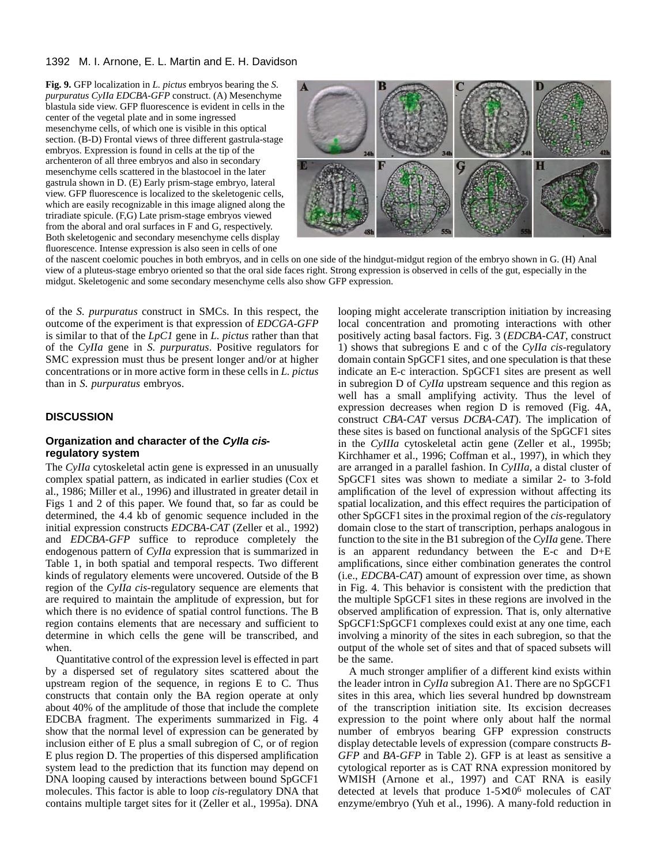**Fig. 9.** GFP localization in *L. pictus* embryos bearing the *S. purpuratus CyIIa EDCBA-GFP* construct. (A) Mesenchyme blastula side view. GFP fluorescence is evident in cells in the center of the vegetal plate and in some ingressed mesenchyme cells, of which one is visible in this optical section. (B-D) Frontal views of three different gastrula-stage embryos. Expression is found in cells at the tip of the archenteron of all three embryos and also in secondary mesenchyme cells scattered in the blastocoel in the later gastrula shown in D. (E) Early prism-stage embryo, lateral view. GFP fluorescence is localized to the skeletogenic cells, which are easily recognizable in this image aligned along the triradiate spicule. (F,G) Late prism-stage embryos viewed from the aboral and oral surfaces in F and G, respectively. Both skeletogenic and secondary mesenchyme cells display fluorescence. Intense expression is also seen in cells of one



of the nascent coelomic pouches in both embryos, and in cells on one side of the hindgut-midgut region of the embryo shown in G. (H) Anal view of a pluteus-stage embryo oriented so that the oral side faces right. Strong expression is observed in cells of the gut, especially in the midgut. Skeletogenic and some secondary mesenchyme cells also show GFP expression.

of the *S. purpuratus* construct in SMCs. In this respect, the outcome of the experiment is that expression of *EDCGA-GFP* is similar to that of the *LpC1* gene in *L. pictus* rather than that of the *CyIIa* gene in *S. purpuratus*. Positive regulators for SMC expression must thus be present longer and/or at higher concentrations or in more active form in these cells in *L. pictus* than in *S. purpuratus* embryos.

# **DISCUSSION**

# **Organization and character of the CyIIa cisregulatory system**

The *CyIIa* cytoskeletal actin gene is expressed in an unusually complex spatial pattern, as indicated in earlier studies (Cox et al., 1986; Miller et al., 1996) and illustrated in greater detail in Figs 1 and 2 of this paper. We found that, so far as could be determined, the 4.4 kb of genomic sequence included in the initial expression constructs *EDCBA-CAT* (Zeller et al., 1992) and *EDCBA-GFP* suffice to reproduce completely the endogenous pattern of *CyIIa* expression that is summarized in Table 1, in both spatial and temporal respects. Two different kinds of regulatory elements were uncovered. Outside of the B region of the *CyIIa cis*-regulatory sequence are elements that are required to maintain the amplitude of expression, but for which there is no evidence of spatial control functions. The B region contains elements that are necessary and sufficient to determine in which cells the gene will be transcribed, and when.

Quantitative control of the expression level is effected in part by a dispersed set of regulatory sites scattered about the upstream region of the sequence, in regions E to C. Thus constructs that contain only the BA region operate at only about 40% of the amplitude of those that include the complete EDCBA fragment. The experiments summarized in Fig. 4 show that the normal level of expression can be generated by inclusion either of E plus a small subregion of C, or of region E plus region D. The properties of this dispersed amplification system lead to the prediction that its function may depend on DNA looping caused by interactions between bound SpGCF1 molecules. This factor is able to loop *cis*-regulatory DNA that contains multiple target sites for it (Zeller et al., 1995a). DNA

looping might accelerate transcription initiation by increasing local concentration and promoting interactions with other positively acting basal factors. Fig. 3 (*EDCBA-CAT*, construct 1) shows that subregions E and c of the *CyIIa cis*-regulatory domain contain SpGCF1 sites, and one speculation is that these indicate an E-c interaction. SpGCF1 sites are present as well in subregion D of *CyIIa* upstream sequence and this region as well has a small amplifying activity. Thus the level of expression decreases when region D is removed (Fig. 4A, construct *CBA-CAT* versus *DCBA-CAT*). The implication of these sites is based on functional analysis of the SpGCF1 sites in the *CyIIIa* cytoskeletal actin gene (Zeller et al., 1995b; Kirchhamer et al., 1996; Coffman et al., 1997), in which they are arranged in a parallel fashion. In *CyIIIa*, a distal cluster of SpGCF1 sites was shown to mediate a similar 2- to 3-fold amplification of the level of expression without affecting its spatial localization, and this effect requires the participation of other SpGCF1 sites in the proximal region of the *cis*-regulatory domain close to the start of transcription, perhaps analogous in function to the site in the B1 subregion of the *CyIIa* gene. There is an apparent redundancy between the E-c and D+E amplifications, since either combination generates the control (i.e., *EDCBA-CAT*) amount of expression over time, as shown in Fig. 4. This behavior is consistent with the prediction that the multiple SpGCF1 sites in these regions are involved in the observed amplification of expression. That is, only alternative SpGCF1:SpGCF1 complexes could exist at any one time, each involving a minority of the sites in each subregion, so that the output of the whole set of sites and that of spaced subsets will be the same.

A much stronger amplifier of a different kind exists within the leader intron in *CyIIa* subregion A1. There are no SpGCF1 sites in this area, which lies several hundred bp downstream of the transcription initiation site. Its excision decreases expression to the point where only about half the normal number of embryos bearing GFP expression constructs display detectable levels of expression (compare constructs *B-GFP* and *BA-GFP* in Table 2). GFP is at least as sensitive a cytological reporter as is CAT RNA expression monitored by WMISH (Arnone et al., 1997) and CAT RNA is easily detected at levels that produce 1-5×10<sup>6</sup> molecules of CAT enzyme/embryo (Yuh et al., 1996). A many-fold reduction in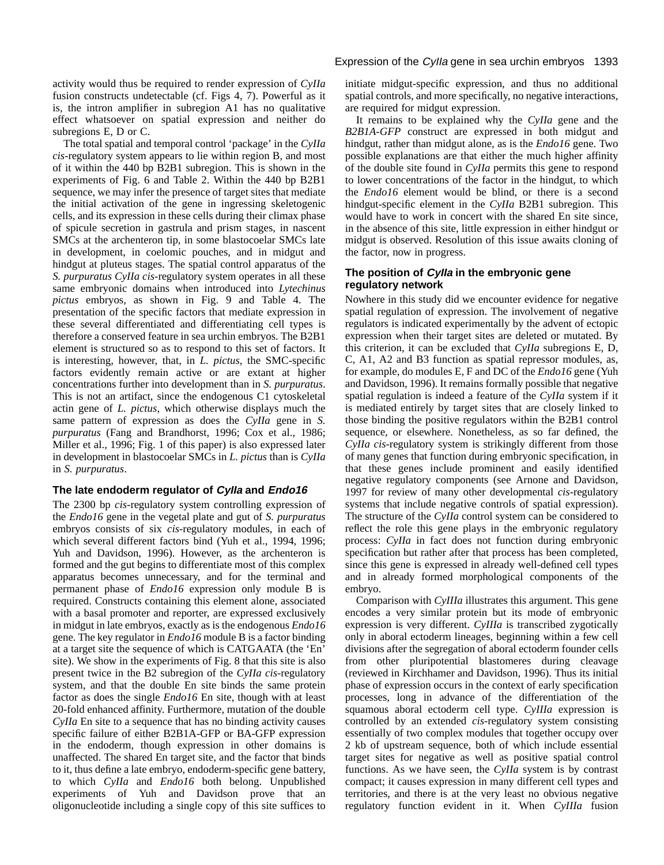activity would thus be required to render expression of *CyIIa* fusion constructs undetectable (cf. Figs 4, 7). Powerful as it is, the intron amplifier in subregion A1 has no qualitative effect whatsoever on spatial expression and neither do subregions E, D or C.

The total spatial and temporal control 'package' in the *CyIIa cis*-regulatory system appears to lie within region B, and most of it within the 440 bp B2B1 subregion. This is shown in the experiments of Fig. 6 and Table 2. Within the 440 bp B2B1 sequence, we may infer the presence of target sites that mediate the initial activation of the gene in ingressing skeletogenic cells, and its expression in these cells during their climax phase of spicule secretion in gastrula and prism stages, in nascent SMCs at the archenteron tip, in some blastocoelar SMCs late in development, in coelomic pouches, and in midgut and hindgut at pluteus stages. The spatial control apparatus of the *S. purpuratus CyIIa cis*-regulatory system operates in all these same embryonic domains when introduced into *Lytechinus pictus* embryos, as shown in Fig. 9 and Table 4. The presentation of the specific factors that mediate expression in these several differentiated and differentiating cell types is therefore a conserved feature in sea urchin embryos. The B2B1 element is structured so as to respond to this set of factors. It is interesting, however, that, in *L. pictus*, the SMC-specific factors evidently remain active or are extant at higher concentrations further into development than in *S. purpuratus*. This is not an artifact, since the endogenous C1 cytoskeletal actin gene of *L. pictus*, which otherwise displays much the same pattern of expression as does the *CyIIa* gene in *S. purpuratus* (Fang and Brandhorst, 1996; Cox et al., 1986; Miller et al., 1996; Fig. 1 of this paper) is also expressed later in development in blastocoelar SMCs in *L. pictus* than is *CyIIa* in *S. purpuratus*.

# **The late endoderm regulator of CyIIa and Endo16**

The 2300 bp *cis*-regulatory system controlling expression of the *Endo16* gene in the vegetal plate and gut of *S. purpuratus* embryos consists of six *cis*-regulatory modules, in each of which several different factors bind (Yuh et al., 1994, 1996; Yuh and Davidson, 1996). However, as the archenteron is formed and the gut begins to differentiate most of this complex apparatus becomes unnecessary, and for the terminal and permanent phase of *Endo16* expression only module B is required. Constructs containing this element alone, associated with a basal promoter and reporter, are expressed exclusively in midgut in late embryos, exactly as is the endogenous *Endo16* gene. The key regulator in *Endo16* module B is a factor binding at a target site the sequence of which is CATGAATA (the 'En' site). We show in the experiments of Fig. 8 that this site is also present twice in the B2 subregion of the *CyIIa cis*-regulatory system, and that the double En site binds the same protein factor as does the single *Endo16* En site, though with at least 20-fold enhanced affinity. Furthermore, mutation of the double *CyIIa* En site to a sequence that has no binding activity causes specific failure of either B2B1A-GFP or BA-GFP expression in the endoderm, though expression in other domains is unaffected. The shared En target site, and the factor that binds to it, thus define a late embryo, endoderm-specific gene battery, to which *CyIIa* and *Endo16* both belong. Unpublished experiments of Yuh and Davidson prove that an oligonucleotide including a single copy of this site suffices to

# Expression of the Cylla gene in sea urchin embryos 1393

initiate midgut-specific expression, and thus no additional spatial controls, and more specifically, no negative interactions, are required for midgut expression.

It remains to be explained why the *CyIIa* gene and the *B2B1A-GFP* construct are expressed in both midgut and hindgut, rather than midgut alone, as is the *Endo16* gene. Two possible explanations are that either the much higher affinity of the double site found in *CyIIa* permits this gene to respond to lower concentrations of the factor in the hindgut, to which the *Endo16* element would be blind, or there is a second hindgut-specific element in the *CyIIa* B2B1 subregion. This would have to work in concert with the shared En site since, in the absence of this site, little expression in either hindgut or midgut is observed. Resolution of this issue awaits cloning of the factor, now in progress.

# **The position of CyIIa in the embryonic gene regulatory network**

Nowhere in this study did we encounter evidence for negative spatial regulation of expression. The involvement of negative regulators is indicated experimentally by the advent of ectopic expression when their target sites are deleted or mutated. By this criterion, it can be excluded that *CyIIa* subregions E, D, C, A1, A2 and B3 function as spatial repressor modules, as, for example, do modules E, F and DC of the *Endo16* gene (Yuh and Davidson, 1996). It remains formally possible that negative spatial regulation is indeed a feature of the *CyIIa* system if it is mediated entirely by target sites that are closely linked to those binding the positive regulators within the B2B1 control sequence, or elsewhere. Nonetheless, as so far defined, the *CyIIa cis*-regulatory system is strikingly different from those of many genes that function during embryonic specification, in that these genes include prominent and easily identified negative regulatory components (see Arnone and Davidson, 1997 for review of many other developmental *cis*-regulatory systems that include negative controls of spatial expression). The structure of the *CyIIa* control system can be considered to reflect the role this gene plays in the embryonic regulatory process: *CyIIa* in fact does not function during embryonic specification but rather after that process has been completed, since this gene is expressed in already well-defined cell types and in already formed morphological components of the embryo.

Comparison with *CyIIIa* illustrates this argument. This gene encodes a very similar protein but its mode of embryonic expression is very different. *CyIIIa* is transcribed zygotically only in aboral ectoderm lineages, beginning within a few cell divisions after the segregation of aboral ectoderm founder cells from other pluripotential blastomeres during cleavage (reviewed in Kirchhamer and Davidson, 1996). Thus its initial phase of expression occurs in the context of early specification processes, long in advance of the differentiation of the squamous aboral ectoderm cell type. *CyIIIa* expression is controlled by an extended *cis*-regulatory system consisting essentially of two complex modules that together occupy over 2 kb of upstream sequence, both of which include essential target sites for negative as well as positive spatial control functions. As we have seen, the *CyIIa* system is by contrast compact; it causes expression in many different cell types and territories, and there is at the very least no obvious negative regulatory function evident in it. When *CyIIIa* fusion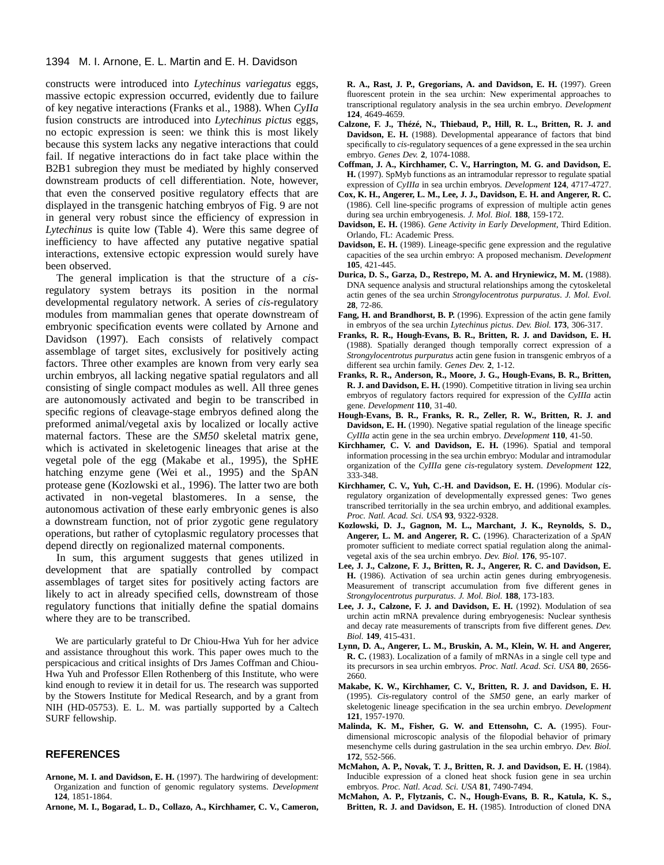constructs were introduced into *Lytechinus variegatus* eggs, massive ectopic expression occurred, evidently due to failure of key negative interactions (Franks et al., 1988). When *CyIIa* fusion constructs are introduced into *Lytechinus pictus* eggs, no ectopic expression is seen: we think this is most likely because this system lacks any negative interactions that could fail. If negative interactions do in fact take place within the B2B1 subregion they must be mediated by highly conserved downstream products of cell differentiation. Note, however, that even the conserved positive regulatory effects that are displayed in the transgenic hatching embryos of Fig. 9 are not in general very robust since the efficiency of expression in *Lytechinus* is quite low (Table 4). Were this same degree of inefficiency to have affected any putative negative spatial interactions, extensive ectopic expression would surely have been observed.

The general implication is that the structure of a *cis*regulatory system betrays its position in the normal developmental regulatory network. A series of *cis*-regulatory modules from mammalian genes that operate downstream of embryonic specification events were collated by Arnone and Davidson (1997). Each consists of relatively compact assemblage of target sites, exclusively for positively acting factors. Three other examples are known from very early sea urchin embryos, all lacking negative spatial regulators and all consisting of single compact modules as well. All three genes are autonomously activated and begin to be transcribed in specific regions of cleavage-stage embryos defined along the preformed animal/vegetal axis by localized or locally active maternal factors. These are the *SM50* skeletal matrix gene, which is activated in skeletogenic lineages that arise at the vegetal pole of the egg (Makabe et al., 1995), the SpHE hatching enzyme gene (Wei et al., 1995) and the SpAN protease gene (Kozlowski et al., 1996). The latter two are both activated in non-vegetal blastomeres. In a sense, the autonomous activation of these early embryonic genes is also a downstream function, not of prior zygotic gene regulatory operations, but rather of cytoplasmic regulatory processes that depend directly on regionalized maternal components.

In sum, this argument suggests that genes utilized in development that are spatially controlled by compact assemblages of target sites for positively acting factors are likely to act in already specified cells, downstream of those regulatory functions that initially define the spatial domains where they are to be transcribed.

We are particularly grateful to Dr Chiou-Hwa Yuh for her advice and assistance throughout this work. This paper owes much to the perspicacious and critical insights of Drs James Coffman and Chiou-Hwa Yuh and Professor Ellen Rothenberg of this Institute, who were kind enough to review it in detail for us. The research was supported by the Stowers Institute for Medical Research, and by a grant from NIH (HD-05753). E. L. M. was partially supported by a Caltech SURF fellowship.

#### **REFERENCES**

- **Arnone, M. I. and Davidson, E. H.** (1997). The hardwiring of development: Organization and function of genomic regulatory systems. *Development* **124**, 1851-1864.
- **Arnone, M. I., Bogarad, L. D., Collazo, A., Kirchhamer, C. V., Cameron,**

**R. A., Rast, J. P., Gregorians, A. and Davidson, E. H.** (1997). Green fluorescent protein in the sea urchin: New experimental approaches to transcriptional regulatory analysis in the sea urchin embryo. *Development* **124**, 4649-4659.

- **Calzone, F. J., Thézé, N., Thiebaud, P., Hill, R. L., Britten, R. J. and Davidson, E. H.** (1988). Developmental appearance of factors that bind specifically to *cis*-regulatory sequences of a gene expressed in the sea urchin embryo. *Genes Dev.* **2**, 1074-1088.
- **Coffman, J. A., Kirchhamer, C. V., Harrington, M. G. and Davidson, E. H.** (1997). SpMyb functions as an intramodular repressor to regulate spatial expression of *CyIIIa* in sea urchin embryos. *Development* **124**, 4717-4727.
- **Cox, K. H., Angerer, L. M., Lee, J. J., Davidson, E. H. and Angerer, R. C.** (1986). Cell line-specific programs of expression of multiple actin genes during sea urchin embryogenesis. *J. Mol. Biol.* **188**, 159-172.
- **Davidson, E. H.** (1986). *Gene Activity in Early Development,* Third Edition. Orlando, FL: Academic Press.
- **Davidson, E. H.** (1989). Lineage-specific gene expression and the regulative capacities of the sea urchin embryo: A proposed mechanism. *Development* **105**, 421-445.
- **Durica, D. S., Garza, D., Restrepo, M. A. and Hryniewicz, M. M.** (1988). DNA sequence analysis and structural relationships among the cytoskeletal actin genes of the sea urchin *Strongylocentrotus purpuratus*. *J. Mol. Evol.* **28**, 72-86.
- **Fang, H. and Brandhorst, B. P.** (1996). Expression of the actin gene family in embryos of the sea urchin *Lytechinus pictus*. *Dev. Biol.* **173**, 306-317.
- **Franks, R. R., Hough-Evans, B. R., Britten, R. J. and Davidson, E. H.** (1988). Spatially deranged though temporally correct expression of a *Strongylocentrotus purpuratus* actin gene fusion in transgenic embryos of a different sea urchin family. *Genes Dev.* **2**, 1-12.
- **Franks, R. R., Anderson, R., Moore, J. G., Hough-Evans, B. R., Britten, R. J. and Davidson, E. H.** (1990). Competitive titration in living sea urchin embryos of regulatory factors required for expression of the *CyIIIa* actin gene. *Development* **110**, 31-40.
- **Hough-Evans, B. R., Franks, R. R., Zeller, R. W., Britten, R. J. and Davidson, E. H.** (1990). Negative spatial regulation of the lineage specific *CyIIIa* actin gene in the sea urchin embryo. *Development* **110**, 41-50.
- **Kirchhamer, C. V. and Davidson, E. H.** (1996). Spatial and temporal information processing in the sea urchin embryo: Modular and intramodular organization of the *CyIIIa* gene *cis*-regulatory system. *Development* **122**, 333-348.
- **Kirchhamer, C. V., Yuh, C.-H. and Davidson, E. H.** (1996). Modular *cis*regulatory organization of developmentally expressed genes: Two genes transcribed territorially in the sea urchin embryo, and additional examples. *Proc. Natl. Acad. Sci. USA* **93**, 9322-9328.
- **Kozlowski, D. J., Gagnon, M. L., Marchant, J. K., Reynolds, S. D., Angerer, L. M. and Angerer, R. C.** (1996). Characterization of a *SpAN* promoter sufficient to mediate correct spatial regulation along the animalvegetal axis of the sea urchin embryo. *Dev. Biol.* **176**, 95-107.
- **Lee, J. J., Calzone, F. J., Britten, R. J., Angerer, R. C. and Davidson, E. H.** (1986). Activation of sea urchin actin genes during embryogenesis. Measurement of transcript accumulation from five different genes in *Strongylocentrotus purpuratus*. *J. Mol. Biol.* **188**, 173-183.
- **Lee, J. J., Calzone, F. J. and Davidson, E. H.** (1992). Modulation of sea urchin actin mRNA prevalence during embryogenesis: Nuclear synthesis and decay rate measurements of transcripts from five different genes. *Dev. Biol.* **149**, 415-431.
- **Lynn, D. A., Angerer, L. M., Bruskin, A. M., Klein, W. H. and Angerer, R. C.** (1983). Localization of a family of mRNAs in a single cell type and its precursors in sea urchin embryos. *Proc. Natl. Acad. Sci. USA* **80**, 2656- 2660.
- **Makabe, K. W., Kirchhamer, C. V., Britten, R. J. and Davidson, E. H.** (1995). *Cis*-regulatory control of the *SM50* gene, an early marker of skeletogenic lineage specification in the sea urchin embryo. *Development* **121**, 1957-1970.
- **Malinda, K. M., Fisher, G. W. and Ettensohn, C. A.** (1995). Fourdimensional microscopic analysis of the filopodial behavior of primary mesenchyme cells during gastrulation in the sea urchin embryo. *Dev. Biol.* **172**, 552-566.
- **McMahon, A. P., Novak, T. J., Britten, R. J. and Davidson, E. H.** (1984). Inducible expression of a cloned heat shock fusion gene in sea urchin embryos. *Proc. Natl. Acad. Sci. USA* **81**, 7490-7494.
- **McMahon, A. P., Flytzanis, C. N., Hough-Evans, B. R., Katula, K. S., Britten, R. J. and Davidson, E. H.** (1985). Introduction of cloned DNA